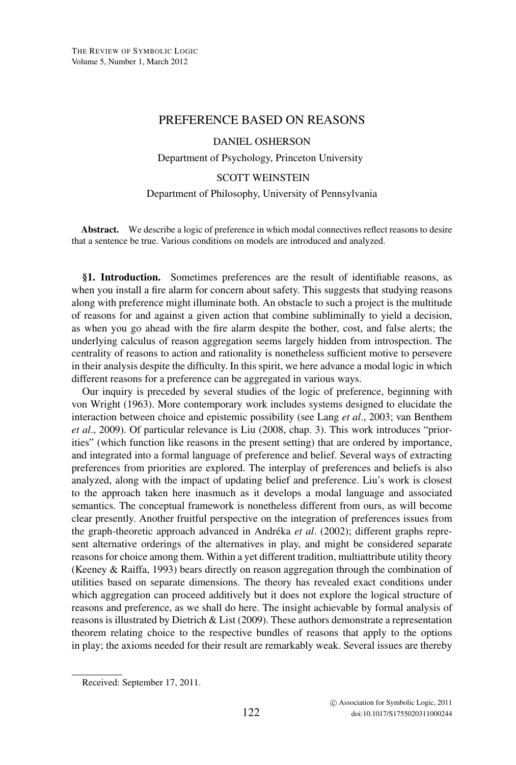## PREFERENCE BASED ON REASONS

DANIEL OSHERSON Department of Psychology, Princeton University

## SCOTT WEINSTEIN Department of Philosophy, University of Pennsylvania

**Abstract.** We describe a logic of preference in which modal connectives reflect reasons to desire that a sentence be true. Various conditions on models are introduced and analyzed.

**§1. Introduction.** Sometimes preferences are the result of identifiable reasons, as when you install a fire alarm for concern about safety. This suggests that studying reasons along with preference might illuminate both. An obstacle to such a project is the multitude of reasons for and against a given action that combine subliminally to yield a decision, as when you go ahead with the fire alarm despite the bother, cost, and false alerts; the underlying calculus of reason aggregation seems largely hidden from introspection. The centrality of reasons to action and rationality is nonetheless sufficient motive to persevere in their analysis despite the difficulty. In this spirit, we here advance a modal logic in which different reasons for a preference can be aggregated in various ways.

Our inquiry is preceded by several studies of the logic of preference, beginning with von Wright (1963). More contemporary work includes systems designed to elucidate the interaction between choice and epistemic possibility (see Lang *et al*., 2003; van Benthem *et al*., 2009). Of particular relevance is Liu (2008, chap. 3). This work introduces "priorities" (which function like reasons in the present setting) that are ordered by importance, and integrated into a formal language of preference and belief. Several ways of extracting preferences from priorities are explored. The interplay of preferences and beliefs is also analyzed, along with the impact of updating belief and preference. Liu's work is closest to the approach taken here inasmuch as it develops a modal language and associated semantics. The conceptual framework is nonetheless different from ours, as will become clear presently. Another fruitful perspective on the integration of preferences issues from the graph-theoretic approach advanced in Andréka *et al.* (2002); different graphs represent alternative orderings of the alternatives in play, and might be considered separate reasons for choice among them. Within a yet different tradition, multiattribute utility theory (Keeney & Raiffa, 1993) bears directly on reason aggregation through the combination of utilities based on separate dimensions. The theory has revealed exact conditions under which aggregation can proceed additively but it does not explore the logical structure of reasons and preference, as we shall do here. The insight achievable by formal analysis of reasons is illustrated by Dietrich & List (2009). These authors demonstrate a representation theorem relating choice to the respective bundles of reasons that apply to the options in play; the axioms needed for their result are remarkably weak. Several issues are thereby

Received: September 17, 2011.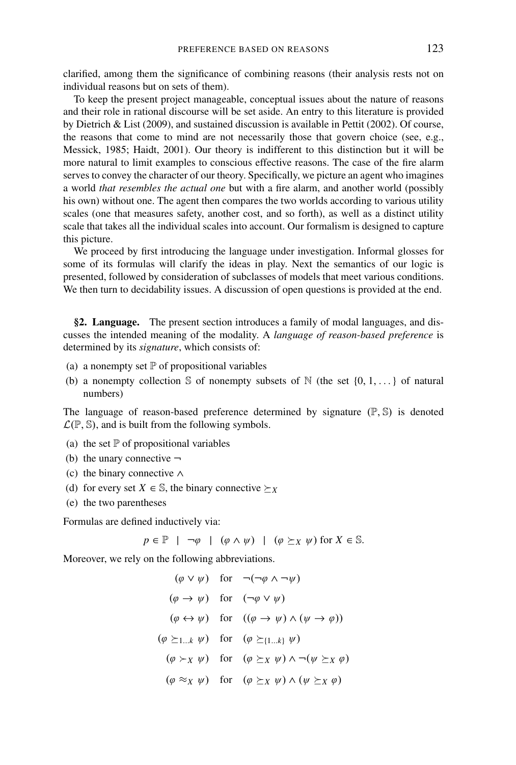clarified, among them the significance of combining reasons (their analysis rests not on individual reasons but on sets of them).

To keep the present project manageable, conceptual issues about the nature of reasons and their role in rational discourse will be set aside. An entry to this literature is provided by Dietrich & List (2009), and sustained discussion is available in Pettit (2002). Of course, the reasons that come to mind are not necessarily those that govern choice (see, e.g., Messick, 1985; Haidt, 2001). Our theory is indifferent to this distinction but it will be more natural to limit examples to conscious effective reasons. The case of the fire alarm serves to convey the character of our theory. Specifically, we picture an agent who imagines a world *that resembles the actual one* but with a fire alarm, and another world (possibly his own) without one. The agent then compares the two worlds according to various utility scales (one that measures safety, another cost, and so forth), as well as a distinct utility scale that takes all the individual scales into account. Our formalism is designed to capture this picture.

We proceed by first introducing the language under investigation. Informal glosses for some of its formulas will clarify the ideas in play. Next the semantics of our logic is presented, followed by consideration of subclasses of models that meet various conditions. We then turn to decidability issues. A discussion of open questions is provided at the end.

**§2. Language.** The present section introduces a family of modal languages, and discusses the intended meaning of the modality. A *language of reason-based preference* is determined by its *signature*, which consists of:

- (a) a nonempty set  $\mathbb P$  of propositional variables
- (b) a nonempty collection S of nonempty subsets of N (the set  $\{0, 1, ...\}$  of natural numbers)

The language of reason-based preference determined by signature  $(\mathbb{P}, \mathbb{S})$  is denoted  $\mathcal{L}(\mathbb{P}, \mathbb{S})$ , and is built from the following symbols.

- (a) the set  $\mathbb P$  of propositional variables
- (b) the unary connective  $\neg$
- (c) the binary connective ∧
- (d) for every set  $X \in \mathbb{S}$ , the binary connective  $\succeq_X$
- (e) the two parentheses

Formulas are defined inductively via:

 $p \in \mathbb{P}$  |  $\neg \varphi$  |  $(\varphi \wedge \psi)$  |  $(\varphi \succeq_X \psi)$  for  $X \in \mathbb{S}$ .

Moreover, we rely on the following abbreviations.

$$
(\varphi \lor \psi) \quad \text{for} \quad \neg(\neg \varphi \land \neg \psi)
$$
\n
$$
(\varphi \to \psi) \quad \text{for} \quad (\neg \varphi \lor \psi)
$$
\n
$$
(\varphi \leftrightarrow \psi) \quad \text{for} \quad ((\varphi \to \psi) \land (\psi \to \varphi))
$$
\n
$$
(\varphi \succeq_{1...k} \psi) \quad \text{for} \quad (\varphi \succeq_{\{1...k\}} \psi)
$$
\n
$$
(\varphi \succ_X \psi) \quad \text{for} \quad (\varphi \succeq_X \psi) \land \neg(\psi \succeq_X \varphi)
$$
\n
$$
(\varphi \approx_X \psi) \quad \text{for} \quad (\varphi \succeq_X \psi) \land (\psi \succeq_X \varphi)
$$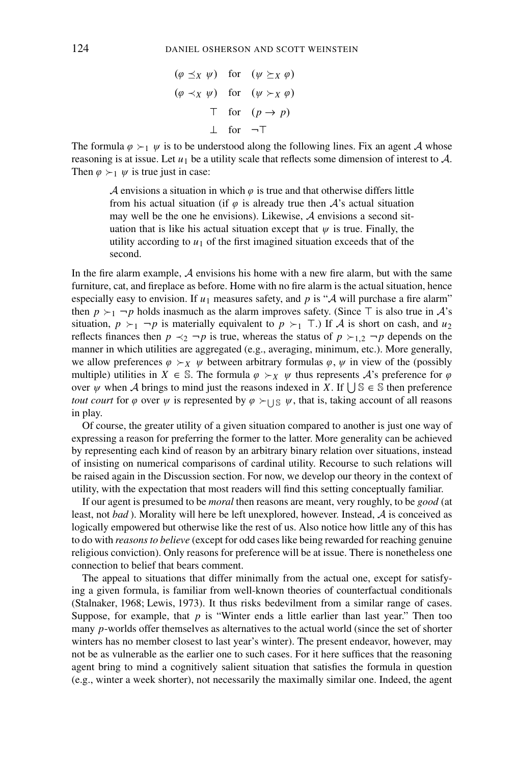$$
(\varphi \preceq_X \psi) \quad \text{for} \quad (\psi \succeq_X \varphi)
$$
  

$$
(\varphi \prec_X \psi) \quad \text{for} \quad (\psi \succ_X \varphi)
$$
  

$$
\top \quad \text{for} \quad (p \to p)
$$
  

$$
\bot \quad \text{for} \quad \neg \top
$$

The formula  $\varphi \succ_1 \psi$  is to be understood along the following lines. Fix an agent A whose reasoning is at issue. Let  $u_1$  be a utility scale that reflects some dimension of interest to  $A$ . Then  $\varphi \succ_1 \psi$  is true just in case:

> A envisions a situation in which  $\varphi$  is true and that otherwise differs little from his actual situation (if  $\varphi$  is already true then  $A$ 's actual situation may well be the one he envisions). Likewise, A envisions a second situation that is like his actual situation except that  $\psi$  is true. Finally, the utility according to  $u_1$  of the first imagined situation exceeds that of the second.

In the fire alarm example,  $A$  envisions his home with a new fire alarm, but with the same furniture, cat, and fireplace as before. Home with no fire alarm is the actual situation, hence especially easy to envision. If  $u_1$  measures safety, and p is "A will purchase a fire alarm" then  $p \succ_1 \neg p$  holds inasmuch as the alarm improves safety. (Since  $\top$  is also true in A's situation,  $p \succ_1 \neg p$  is materially equivalent to  $p \succ_1 \top$ . If A is short on cash, and  $u_2$ reflects finances then  $p \prec_2 \neg p$  is true, whereas the status of  $p \succ_{1,2} \neg p$  depends on the manner in which utilities are aggregated (e.g., averaging, minimum, etc.). More generally, we allow preferences  $\varphi \succ_X \psi$  between arbitrary formulas  $\varphi, \psi$  in view of the (possibly multiple) utilities in  $X \in \mathbb{S}$ . The formula  $\varphi \succ_X \psi$  thus represents A's preference for  $\varphi$ over  $\psi$  when A brings to mind just the reasons indexed in *X*. If  $\bigcup \mathbb{S} \in \mathbb{S}$  then preference *tout court* for  $\varphi$  over  $\psi$  is represented by  $\varphi \succ_{\bigcup \mathbb{S}} \psi$ , that is, taking account of all reasons in play.

Of course, the greater utility of a given situation compared to another is just one way of expressing a reason for preferring the former to the latter. More generality can be achieved by representing each kind of reason by an arbitrary binary relation over situations, instead of insisting on numerical comparisons of cardinal utility. Recourse to such relations will be raised again in the Discussion section. For now, we develop our theory in the context of utility, with the expectation that most readers will find this setting conceptually familiar.

If our agent is presumed to be *moral* then reasons are meant, very roughly, to be *good* (at least, not *bad* ). Morality will here be left unexplored, however. Instead, A is conceived as logically empowered but otherwise like the rest of us. Also notice how little any of this has to do with *reasons to believe* (except for odd cases like being rewarded for reaching genuine religious conviction). Only reasons for preference will be at issue. There is nonetheless one connection to belief that bears comment.

The appeal to situations that differ minimally from the actual one, except for satisfying a given formula, is familiar from well-known theories of counterfactual conditionals (Stalnaker, 1968; Lewis, 1973). It thus risks bedevilment from a similar range of cases. Suppose, for example, that  $p$  is "Winter ends a little earlier than last year." Then too many *p*-worlds offer themselves as alternatives to the actual world (since the set of shorter winters has no member closest to last year's winter). The present endeavor, however, may not be as vulnerable as the earlier one to such cases. For it here suffices that the reasoning agent bring to mind a cognitively salient situation that satisfies the formula in question (e.g., winter a week shorter), not necessarily the maximally similar one. Indeed, the agent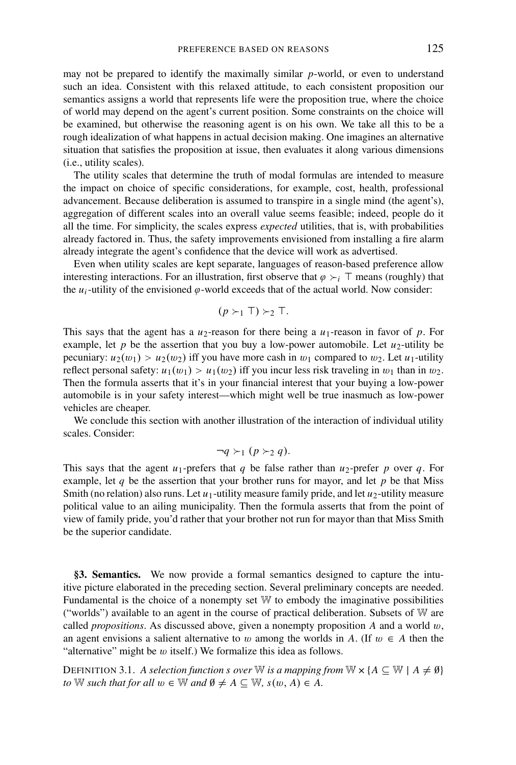may not be prepared to identify the maximally similar *p*-world, or even to understand such an idea. Consistent with this relaxed attitude, to each consistent proposition our semantics assigns a world that represents life were the proposition true, where the choice of world may depend on the agent's current position. Some constraints on the choice will be examined, but otherwise the reasoning agent is on his own. We take all this to be a rough idealization of what happens in actual decision making. One imagines an alternative situation that satisfies the proposition at issue, then evaluates it along various dimensions (i.e., utility scales).

The utility scales that determine the truth of modal formulas are intended to measure the impact on choice of specific considerations, for example, cost, health, professional advancement. Because deliberation is assumed to transpire in a single mind (the agent's), aggregation of different scales into an overall value seems feasible; indeed, people do it all the time. For simplicity, the scales express *expected* utilities, that is, with probabilities already factored in. Thus, the safety improvements envisioned from installing a fire alarm already integrate the agent's confidence that the device will work as advertised.

Even when utility scales are kept separate, languages of reason-based preference allow interesting interactions. For an illustration, first observe that  $\varphi \succ_i \top$  means (roughly) that the  $u_i$ -utility of the envisioned  $\varphi$ -world exceeds that of the actual world. Now consider:

$$
(p \succ_1 \top) \succ_2 \top.
$$

This says that the agent has a  $u_2$ -reason for there being a  $u_1$ -reason in favor of  $p$ . For example, let  $p$  be the assertion that you buy a low-power automobile. Let  $u_2$ -utility be pecuniary:  $u_2(w_1) > u_2(w_2)$  iff you have more cash in  $w_1$  compared to  $w_2$ . Let  $u_1$ -utility reflect personal safety:  $u_1(w_1) > u_1(w_2)$  iff you incur less risk traveling in  $w_1$  than in  $w_2$ . Then the formula asserts that it's in your financial interest that your buying a low-power automobile is in your safety interest—which might well be true inasmuch as low-power vehicles are cheaper.

We conclude this section with another illustration of the interaction of individual utility scales. Consider:

$$
\neg q \succ_1 (p \succ_2 q).
$$

This says that the agent  $u_1$ -prefers that *q* be false rather than  $u_2$ -prefer *p* over *q*. For example, let  $q$  be the assertion that your brother runs for mayor, and let  $p$  be that Miss Smith (no relation) also runs. Let  $u_1$ -utility measure family pride, and let  $u_2$ -utility measure political value to an ailing municipality. Then the formula asserts that from the point of view of family pride, you'd rather that your brother not run for mayor than that Miss Smith be the superior candidate.

**§3. Semantics.** We now provide a formal semantics designed to capture the intuitive picture elaborated in the preceding section. Several preliminary concepts are needed. Fundamental is the choice of a nonempty set W to embody the imaginative possibilities ("worlds") available to an agent in the course of practical deliberation. Subsets of W are called *propositions*. As discussed above, given a nonempty proposition A and a world  $w$ , an agent envisions a salient alternative to w among the worlds in *A*. (If  $w \in A$  then the "alternative" might be  $w$  itself.) We formalize this idea as follows.

DEFINITION 3.1. *A selection function s over* W *is a mapping from* W  $\times$  { $A \subseteq W \mid A \neq \emptyset$ } *to* W *such that for all*  $w \in \mathbb{W}$  *and*  $\emptyset \neq A \subseteq \mathbb{W}$ ,  $s(w, A) \in A$ .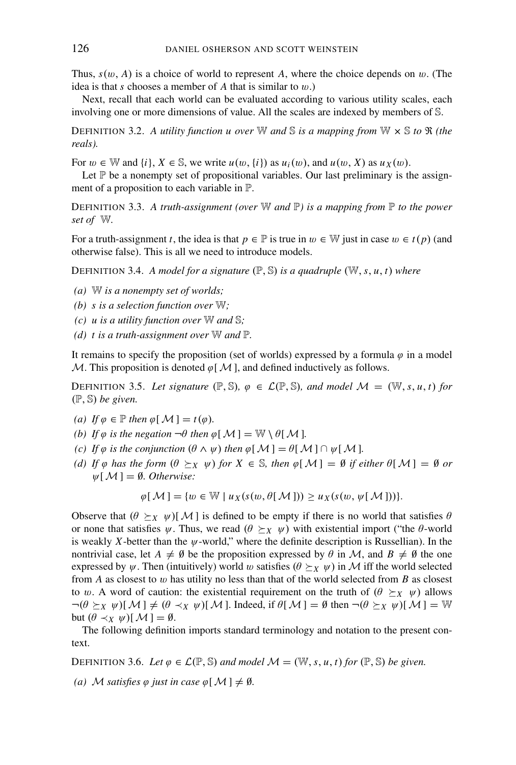Thus,  $s(w, A)$  is a choice of world to represent A, where the choice depends on w. (The idea is that *s* chooses a member of *A* that is similar to w.)

Next, recall that each world can be evaluated according to various utility scales, each involving one or more dimensions of value. All the scales are indexed by members of S.

DEFINITION 3.2. A utility function u over W and S is a mapping from  $W \times S$  to  $\Re$  (the *reals).*

For  $w \in \mathbb{W}$  and  $\{i\}, X \in \mathbb{S}$ , we write  $u(w, \{i\})$  as  $u_i(w)$ , and  $u(w, X)$  as  $u_X(w)$ .

Let  $\mathbb P$  be a nonempty set of propositional variables. Our last preliminary is the assignment of a proposition to each variable in P.

**DEFINITION 3.3.** A truth-assignment (over  $\mathbb{W}$  and  $\mathbb{P}$ ) is a mapping from  $\mathbb{P}$  to the power *set of* W*.*

For a truth-assignment *t*, the idea is that  $p \in \mathbb{P}$  is true in  $w \in \mathbb{W}$  just in case  $w \in t(p)$  (and otherwise false). This is all we need to introduce models.

DEFINITION 3.4. *A model for a signature* (P, S) *is a quadruple* (W,*s*, *u*, *t*) *where*

- *(a)* W *is a nonempty set of worlds;*
- *(b) s is a selection function over* W*;*
- *(c) u is a utility function over* W *and* S*;*
- *(d) t is a truth-assignment over* W *and* P*.*

It remains to specify the proposition (set of worlds) expressed by a formula  $\varphi$  in a model M. This proposition is denoted  $\varphi$ [M], and defined inductively as follows.

DEFINITION 3.5. Let signature  $(\mathbb{P}, \mathbb{S})$ ,  $\varphi \in \mathcal{L}(\mathbb{P}, \mathbb{S})$ , and model  $\mathcal{M} = (\mathbb{W}, s, u, t)$  for (P, S) *be given.*

- *(a) If*  $\varphi \in \mathbb{P}$  *then*  $\varphi[\mathcal{M}] = t(\varphi)$ *.*
- *(b) If*  $\varphi$  *is the negation*  $\neg \theta$  *then*  $\varphi$ [ $\mathcal{M}$ ] = W \  $\theta$ [ $\mathcal{M}$ ].
- *(c)* If  $\varphi$  *is the conjunction*  $(\theta \wedge \psi)$  *then*  $\varphi$ [ $\mathcal{M}$ ] =  $\theta$ [ $\mathcal{M}$ ]  $\cap \psi$ [ $\mathcal{M}$ ].
- *(d)* If  $\varphi$  *has the form*  $(\theta \succeq_X \psi)$  *for*  $X \in \mathbb{S}$ *, then*  $\varphi[\mathcal{M}] = \emptyset$  *if either*  $\theta[\mathcal{M}] = \emptyset$  *or*  $\psi[\mathcal{M}] = \emptyset$ *. Otherwise:*

$$
\varphi[\mathcal{M}] = \{w \in \mathbb{W} \mid u_X(s(w, \theta[\mathcal{M}])) \ge u_X(s(w, \psi[\mathcal{M}]))\}.
$$

Observe that  $(\theta \succeq_X \psi)[\mathcal{M}]$  is defined to be empty if there is no world that satisfies  $\theta$ or none that satisfies  $\psi$ . Thus, we read  $(\theta \succeq_X \psi)$  with existential import ("the  $\theta$ -world") is weakly *X*-better than the  $\psi$ -world," where the definite description is Russellian). In the nontrivial case, let  $A \neq \emptyset$  be the proposition expressed by  $\theta$  in M, and  $B \neq \emptyset$  the one expressed by  $\psi$ . Then (intuitively) world w satisfies  $(\theta \succeq_X \psi)$  in M iff the world selected from *A* as closest to w has utility no less than that of the world selected from *B* as closest to w. A word of caution: the existential requirement on the truth of  $(\theta \succeq_X \psi)$  allows  $\neg(\theta \geq_X \psi) [\mathcal{M}] \neq (\theta \prec_X \psi) [\mathcal{M}]$ . Indeed, if  $\theta[\mathcal{M}] = \emptyset$  then  $\neg(\theta \geq_X \psi) [\mathcal{M}] = \mathbb{W}$ but  $(\theta \prec_X \psi)[\mathcal{M}] = \emptyset$ .

The following definition imports standard terminology and notation to the present context.

DEFINITION 3.6. Let  $\varphi \in \mathcal{L}(\mathbb{P}, \mathbb{S})$  and model  $\mathcal{M} = (\mathbb{W}, s, u, t)$  for  $(\mathbb{P}, \mathbb{S})$  be given.

*(a) M satisfies*  $\varphi$  *just in case*  $\varphi$ [*M*]  $\neq \emptyset$ *.*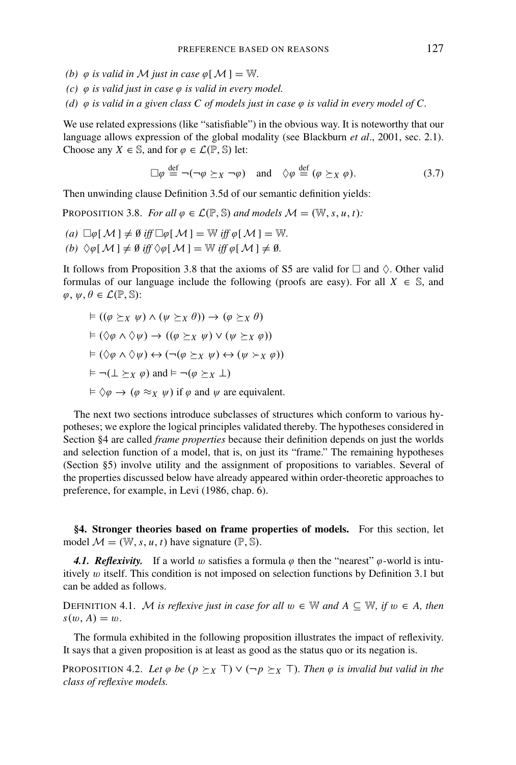- *(b)*  $\varphi$  *is valid in M just in case*  $\varphi$ [*M*] = W.
- *(c)* ϕ *is valid just in case* ϕ *is valid in every model.*
- (d)  $\varphi$  *is valid in a given class C of models just in case*  $\varphi$  *is valid in every model of C.*

We use related expressions (like "satisfiable") in the obvious way. It is noteworthy that our language allows expression of the global modality (see Blackburn *et al*., 2001, sec. 2.1). Choose any *X*  $\in$  S, and for  $\varphi \in \mathcal{L}(\mathbb{P}, \mathbb{S})$  let:

$$
\Box \varphi \stackrel{\text{def}}{=} \neg(\neg \varphi \succeq_X \neg \varphi) \quad \text{and} \quad \Diamond \varphi \stackrel{\text{def}}{=} (\varphi \succeq_X \varphi). \tag{3.7}
$$

Then unwinding clause Definition 3.5d of our semantic definition yields:

PROPOSITION 3.8. *For all*  $\varphi \in \mathcal{L}(\mathbb{P}, \mathbb{S})$  *and models*  $\mathcal{M} = (\mathbb{W}, s, u, t)$ :

- $(a) \Box \varphi[M] \neq \emptyset \text{ iff } \Box \varphi[M] = \mathbb{W} \text{ iff } \varphi[M] = \mathbb{W}.$
- *(b)*  $\Diamond \varphi \mathop{[}\mathcal{M} \mathop{]} \neq \emptyset$  *iff*  $\Diamond \varphi \mathop{[}\mathcal{M} \mathop{]} = \mathbb{W}$  *iff*  $\varphi \mathop{[}\mathcal{M} \mathop{]} \neq \emptyset$ .

It follows from Proposition 3.8 that the axioms of S5 are valid for  $\Box$  and  $\Diamond$ . Other valid formulas of our language include the following (proofs are easy). For all  $X \in \mathbb{S}$ , and  $\varphi, \psi, \theta \in \mathcal{L}(\mathbb{P}, \mathbb{S})$ :

$$
\vdash ((\varphi \succeq_X \psi) \land (\psi \succeq_X \theta)) \rightarrow (\varphi \succeq_X \theta)
$$
\n
$$
\vdash (\Diamond \varphi \land \Diamond \psi) \rightarrow ((\varphi \succeq_X \psi) \lor (\psi \succeq_X \varphi))
$$
\n
$$
\vdash (\Diamond \varphi \land \Diamond \psi) \leftrightarrow (\neg (\varphi \succeq_X \psi) \leftrightarrow (\psi \succ_X \varphi))
$$
\n
$$
\vdash \neg (\bot \succeq_X \varphi) \text{ and } \vdash \neg (\varphi \succeq_X \bot)
$$
\n
$$
\vdash \Diamond \varphi \rightarrow (\varphi \approx_X \psi) \text{ if } \varphi \text{ and } \psi \text{ are equivalent.}
$$

The next two sections introduce subclasses of structures which conform to various hypotheses; we explore the logical principles validated thereby. The hypotheses considered in Section §4 are called *frame properties* because their definition depends on just the worlds and selection function of a model, that is, on just its "frame." The remaining hypotheses (Section §5) involve utility and the assignment of propositions to variables. Several of the properties discussed below have already appeared within order-theoretic approaches to preference, for example, in Levi (1986, chap. 6).

**§4. Stronger theories based on frame properties of models.** For this section, let model  $M = (\mathbb{W}, s, u, t)$  have signature  $(\mathbb{P}, \mathbb{S})$ .

4.1. Reflexivity. If a world w satisfies a formula  $\varphi$  then the "nearest"  $\varphi$ -world is intuitively  $w$  itself. This condition is not imposed on selection functions by Definition 3.1 but can be added as follows.

DEFINITION 4.1. M *is reflexive just in case for all*  $w \in \mathbb{W}$  and  $A \subseteq \mathbb{W}$ *, if*  $w \in A$ *, then*  $s(w, A) = w$ .

The formula exhibited in the following proposition illustrates the impact of reflexivity. It says that a given proposition is at least as good as the status quo or its negation is.

PROPOSITION 4.2. Let  $\varphi$  be  $(p \succeq_X T) \vee (\neg p \succeq_X T)$ . Then  $\varphi$  is invalid but valid in the *class of reflexive models.*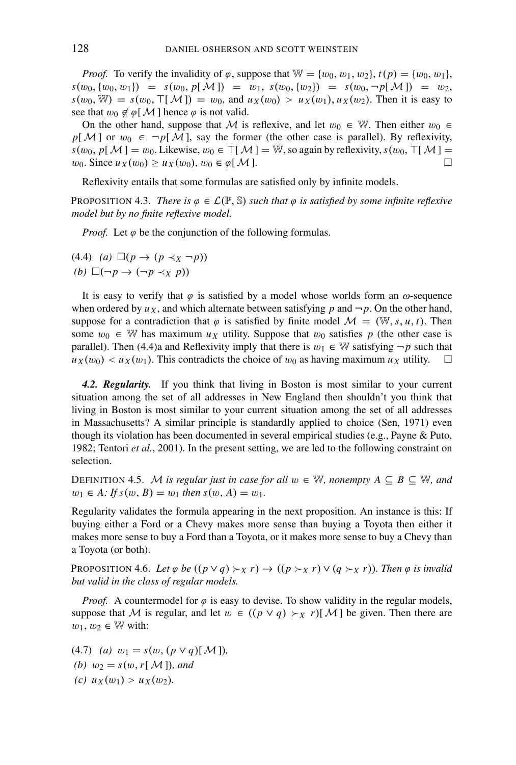*Proof.* To verify the invalidity of  $\varphi$ , suppose that  $\mathbb{W} = \{w_0, w_1, w_2\}$ ,  $t(p) = \{w_0, w_1\}$ ,  $s(w_0, \{w_0, w_1\}) = s(w_0, p[M]) = w_1, s(w_0, \{w_2\}) = s(w_0, \neg p[M]) = w_2,$  $s(w_0, W) = s(w_0, T[M]) = w_0$ , and  $u_X(w_0) > u_X(w_1), u_X(w_2)$ . Then it is easy to see that  $w_0 \notin \varphi[\mathcal{M}]$  hence  $\varphi$  is not valid.

On the other hand, suppose that M is reflexive, and let  $w_0 \in \mathbb{W}$ . Then either  $w_0 \in$  $p[M]$  or  $w_0 \in \neg p[M]$ , say the former (the other case is parallel). By reflexivity,  $s(w_0, p[M]) = w_0$ . Likewise,  $w_0 \in T[M] = W$ , so again by reflexivity,  $s(w_0, T[M]) = w_0$ . Since  $u(x(w_0)) \ge u(x(w_0))$   $w_0 \in \mathcal{C}[M]$  $w_0$ . Since  $u_X(w_0) \ge u_X(w_0)$ ,  $w_0 \in \varphi[M]$ .

Reflexivity entails that some formulas are satisfied only by infinite models.

**PROPOSITION 4.3.** *There is*  $\varphi \in \mathcal{L}(\mathbb{P}, \mathbb{S})$  *such that*  $\varphi$  *is satisfied by some infinite reflexive model but by no finite reflexive model.*

*Proof.* Let  $\varphi$  be the conjunction of the following formulas.

$$
\begin{array}{ll} (4.4) & (a) \ \Box(p \to (p \prec_X \neg p)) \\ (b) \ \Box(\neg p \to (\neg p \prec_X p)) \end{array}
$$

It is easy to verify that  $\varphi$  is satisfied by a model whose worlds form an  $\omega$ -sequence when ordered by  $u_x$ , and which alternate between satisfying p and  $\neg p$ . On the other hand, suppose for a contradiction that  $\varphi$  is satisfied by finite model  $\mathcal{M} = (\mathbb{W}, s, u, t)$ . Then some  $w_0 \in \mathbb{W}$  has maximum  $u_x$  utility. Suppose that  $w_0$  satisfies p (the other case is parallel). Then (4.4)a and Reflexivity imply that there is  $w_1 \in \mathbb{W}$  satisfying  $\neg p$  such that  $u_X(w_0) < u_X(w_1)$ . This contradicts the choice of  $w_0$  as having maximum  $u_X$  utility.

*4.2. Regularity.* If you think that living in Boston is most similar to your current situation among the set of all addresses in New England then shouldn't you think that living in Boston is most similar to your current situation among the set of all addresses in Massachusetts? A similar principle is standardly applied to choice (Sen, 1971) even though its violation has been documented in several empirical studies (e.g., Payne & Puto, 1982; Tentori *et al.*, 2001). In the present setting, we are led to the following constraint on selection.

DEFINITION 4.5. M *is regular just in case for all*  $w \in \mathbb{W}$ , *nonempty*  $A \subseteq B \subseteq \mathbb{W}$ , *and*  $w_1 \in A$ : If  $s(w, B) = w_1$  then  $s(w, A) = w_1$ .

Regularity validates the formula appearing in the next proposition. An instance is this: If buying either a Ford or a Chevy makes more sense than buying a Toyota then either it makes more sense to buy a Ford than a Toyota, or it makes more sense to buy a Chevy than a Toyota (or both).

PROPOSITION 4.6. Let  $\varphi$  be  $((p \lor q) \succ_X r) \to ((p \succ_X r) \lor (q \succ_X r))$ . Then  $\varphi$  is invalid *but valid in the class of regular models.*

*Proof.* A countermodel for  $\varphi$  is easy to devise. To show validity in the regular models, suppose that M is regular, and let  $w \in ((p \lor q) \rightarrow x r)[M]$  be given. Then there are  $w_1, w_2 \in \mathbb{W}$  with:

 $(4.7)$  *(a)*  $w_1 = s(w, (p \vee q)[\mathcal{M}])$ , *(b)*  $w_2 = s(w, r[M])$ *, and (c)*  $u_X(w_1) > u_X(w_2)$ .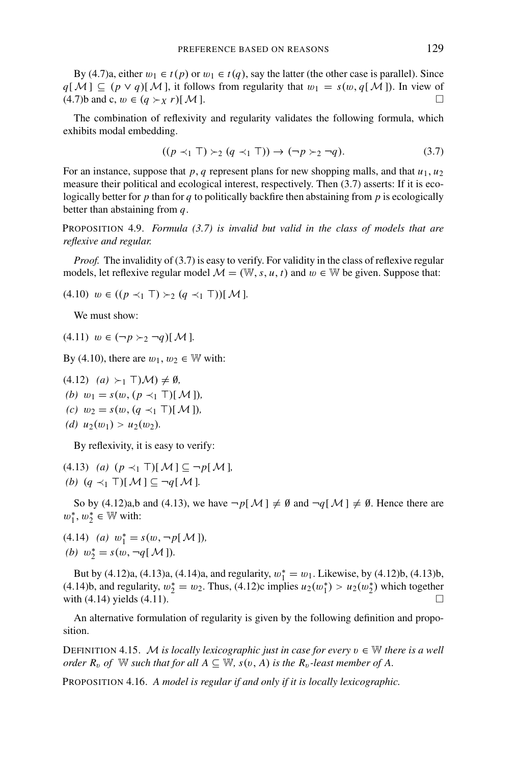By (4.7)a, either  $w_1 \in t(p)$  or  $w_1 \in t(q)$ , say the latter (the other case is parallel). Since *q*[M] ⊆ (*p* ∨ *q*)[M], it follows from regularity that  $w_1 = s(w, q[M])$ . In view of  $(4.7)$ b and c,  $w \in (q \succ_X r)[\mathcal{M}].$ 

The combination of reflexivity and regularity validates the following formula, which exhibits modal embedding.

$$
((p \prec_1 T) \succ_2 (q \prec_1 T)) \to (\neg p \succ_2 \neg q). \tag{3.7}
$$

For an instance, suppose that  $p$ ,  $q$  represent plans for new shopping malls, and that  $u_1$ ,  $u_2$ measure their political and ecological interest, respectively. Then (3.7) asserts: If it is ecologically better for  $p$  than for  $q$  to politically backfire then abstaining from  $p$  is ecologically better than abstaining from *q*.

PROPOSITION 4.9. *Formula (3.7) is invalid but valid in the class of models that are reflexive and regular.*

*Proof.* The invalidity of (3.7) is easy to verify. For validity in the class of reflexive regular models, let reflexive regular model  $\mathcal{M} = (\mathbb{W}, s, u, t)$  and  $w \in \mathbb{W}$  be given. Suppose that:

 $(4.10)$   $w \in ((p \prec_1 \top) \succ_2 (q \prec_1 \top)) [M].$ 

We must show:

 $(4.11)$   $w \in (-p \succ_2 \neg q)[\mathcal{M}]$ .

By (4.10), there are  $w_1, w_2 \in \mathbb{W}$  with:

 $(4.12)$   $(a) \succ_1 \top$  $(\mathcal{M}) \neq \emptyset$ , *(b)*  $w_1 = s(w, (p \prec_1 \top) [\mathcal{M}]),$ *(c)*  $w_2 = s(w, (q \prec_1 \top) [M])$ , *(d)*  $u_2(w_1) > u_2(w_2)$ .

By reflexivity, it is easy to verify:

 $(4.13)$  *(a)*  $(p \prec_1 T)[\mathcal{M}] \subseteq \neg p[\mathcal{M}]$ , *(b)*  $(q \prec_1 T)[M] ⊂ ¬q[M]$ *.* 

So by (4.12)a,b and (4.13), we have  $\neg p[\mathcal{M}] \neq \emptyset$  and  $\neg q[\mathcal{M}] \neq \emptyset$ . Hence there are  $w_1^*, w_2^* \in \mathbb{W}$  with:

 $(4.14)$  *(a)*  $w_1^* = s(w, \neg p[M]),$ *(b)*  $w_2^* = s(w, \neg q[M]).$ 

But by (4.12)a, (4.13)a, (4.14)a, and regularity,  $w_1^* = w_1$ . Likewise, by (4.12)b, (4.13)b, (4.14)b, and regularity,  $w_2^* = w_2$ . Thus, (4.12)c implies  $u_2(w_1^*) > u_2(w_2^*)$  which together with  $(4.14)$  yields  $(4.11)$ .

An alternative formulation of regularity is given by the following definition and proposition.

DEFINITION 4.15. M *is locally lexicographic just in case for every*  $v \in \mathbb{W}$  *there is a well order*  $R_v$  *of* W such that for all  $A \subseteq W$ ,  $s(v, A)$  is the  $R_v$ -least member of A.

PROPOSITION 4.16. *A model is regular if and only if it is locally lexicographic.*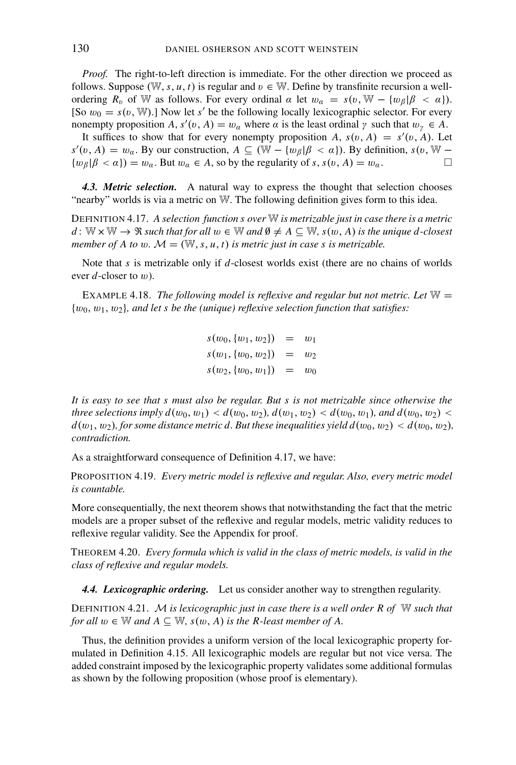*Proof.* The right-to-left direction is immediate. For the other direction we proceed as follows. Suppose (W, s, u, t) is regular and  $v \in W$ . Define by transfinite recursion a wellordering  $R_v$  of W as follows. For every ordinal  $\alpha$  let  $w_\alpha = s(v, W - \{w_\beta | \beta < \alpha\}).$ [So  $w_0 = s(v, W)$ .] Now let s' be the following locally lexicographic selector. For every nonempty proposition *A*,  $s'(v, A) = w_\alpha$  where  $\alpha$  is the least ordinal  $\gamma$  such that  $w_\gamma \in A$ .

It suffices to show that for every nonempty proposition  $A$ ,  $s(v, A) = s'(v, A)$ . Let *s*<sup> $′$ </sup>(*v*, *A*) = *w<sub>a</sub>*. By our construction, *A* ⊆ ( $\mathbb{W} - \{w_{\beta} | \beta < \alpha\}$ ). By definition, *s*(*v*,  $\mathbb{W} \{w_{\beta} | \beta < \alpha\}$  =  $w_{\alpha}$ . But  $w_{\alpha} \in A$ , so by the regularity of *s*,  $s(v, A) = w_{\alpha}$ .

*4.3. Metric selection.* A natural way to express the thought that selection chooses "nearby" worlds is via a metric on W. The following definition gives form to this idea.

DEFINITION 4.17. *A selection function s over* W *is metrizable just in case there is a metric d* : W  $\times$  W →  $\Re$  *such that for all*  $w \in \mathbb{W}$  *and*  $\emptyset \neq A \subseteq \mathbb{W}$ *, s*(*w*, *A*) *is the unique d-closest member of A to w.*  $M = (\mathbb{W}, s, u, t)$  *is metric just in case s is metrizable.* 

Note that *s* is metrizable only if *d*-closest worlds exist (there are no chains of worlds ever *d*-closer to w).

EXAMPLE 4.18. *The following model is reflexive and regular but not metric. Let*  $W =$ {w0, w1, w2}*, and let s be the (unique) reflexive selection function that satisfies:*

> $s(w_0, \{w_1, w_2\}) = w_1$  $s(w_1, \{w_0, w_2\}) = w_2$  $s(w_2, \{w_0, w_1\}) = w_0$

*It is easy to see that s must also be regular. But s is not metrizable since otherwise the three selections imply*  $d(w_0, w_1) < d(w_0, w_2)$ *,*  $d(w_1, w_2) < d(w_0, w_1)$ *, and*  $d(w_0, w_2) <$  $d(w_1, w_2)$ , for some distance metric d. But these inequalities yield  $d(w_0, w_2) < d(w_0, w_2)$ , *contradiction.*

As a straightforward consequence of Definition 4.17, we have:

PROPOSITION 4.19. *Every metric model is reflexive and regular. Also, every metric model is countable.*

More consequentially, the next theorem shows that notwithstanding the fact that the metric models are a proper subset of the reflexive and regular models, metric validity reduces to reflexive regular validity. See the Appendix for proof.

THEOREM 4.20. *Every formula which is valid in the class of metric models, is valid in the class of reflexive and regular models.*

*4.4. Lexicographic ordering.* Let us consider another way to strengthen regularity.

DEFINITION 4.21. <sup>M</sup> *is lexicographic just in case there is a well order R of* <sup>W</sup> *such that for all*  $w \in \mathbb{W}$  *and*  $A \subseteq \mathbb{W}$ *, s*( $w$ *, A*) *is the R-least member of A.* 

Thus, the definition provides a uniform version of the local lexicographic property formulated in Definition 4.15. All lexicographic models are regular but not vice versa. The added constraint imposed by the lexicographic property validates some additional formulas as shown by the following proposition (whose proof is elementary).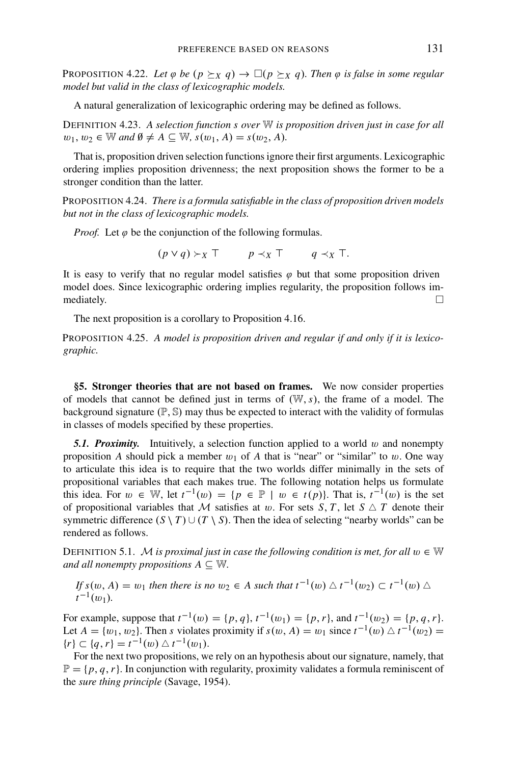**PROPOSITION** 4.22. Let  $\varphi$  be  $(p \succeq_X q) \to \Box(p \succeq_X q)$ . Then  $\varphi$  is false in some regular *model but valid in the class of lexicographic models.*

A natural generalization of lexicographic ordering may be defined as follows.

DEFINITION 4.23. *A selection function s over* W *is proposition driven just in case for all*  $w_1, w_2 \in \mathbb{W}$  and  $\emptyset \neq A \subseteq \mathbb{W}$ ,  $s(w_1, A) = s(w_2, A)$ .

That is, proposition driven selection functions ignore their first arguments. Lexicographic ordering implies proposition drivenness; the next proposition shows the former to be a stronger condition than the latter.

PROPOSITION 4.24. *There is a formula satisfiable in the class of proposition driven models but not in the class of lexicographic models.*

*Proof.* Let  $\varphi$  be the conjunction of the following formulas.

 $(p \lor q) \succ_X \top$   $p \prec_X \top$   $q \prec_X \top$ .

It is easy to verify that no regular model satisfies  $\varphi$  but that some proposition driven model does. Since lexicographic ordering implies regularity, the proposition follows immediately.  $\Box$ 

The next proposition is a corollary to Proposition 4.16.

PROPOSITION 4.25. *A model is proposition driven and regular if and only if it is lexicographic.*

**§5. Stronger theories that are not based on frames.** We now consider properties of models that cannot be defined just in terms of (W,*s*), the frame of a model. The background signature  $(\mathbb{P}, \mathbb{S})$  may thus be expected to interact with the validity of formulas in classes of models specified by these properties.

**5.1. Proximity.** Intuitively, a selection function applied to a world  $w$  and nonempty proposition *A* should pick a member  $w_1$  of *A* that is "near" or "similar" to w. One way to articulate this idea is to require that the two worlds differ minimally in the sets of propositional variables that each makes true. The following notation helps us formulate this idea. For  $w \in \mathbb{W}$ , let  $t^{-1}(w) = \{p \in \mathbb{P} \mid w \in t(p)\}\$ . That is,  $t^{-1}(w)$  is the set of propositional variables that M satisfies at w. For sets  $S, T$ , let  $S \triangle T$  denote their symmetric difference  $(S \setminus T) \cup (T \setminus S)$ . Then the idea of selecting "nearby worlds" can be rendered as follows.

DEFINITION 5.1. M *is proximal just in case the following condition is met, for all*  $w \in \mathbb{W}$ *and all nonempty propositions*  $A \subseteq \mathbb{W}$ .

*If*  $s(w, A) = w_1$  *then there is no*  $w_2 \in A$  *such that*  $t^{-1}(w) \triangle t^{-1}(w_2) \subset t^{-1}(w) \triangle t$  $t^{-1}(w_1)$ .

For example, suppose that  $t^{-1}(w) = \{p, q\}$ ,  $t^{-1}(w_1) = \{p, r\}$ , and  $t^{-1}(w_2) = \{p, q, r\}$ . Let *A* = { $w_1, w_2$ }. Then *s* violates proximity if  $s(w, A) = w_1$  since  $t^{-1}(w) \triangle t^{-1}(w_2) =$  ${r} ⊆ {q, r} = t^{-1}(w) ⊥ t^{-1}(w_1).$ 

For the next two propositions, we rely on an hypothesis about our signature, namely, that  $\mathbb{P} = \{p, q, r\}$ . In conjunction with regularity, proximity validates a formula reminiscent of the *sure thing principle* (Savage, 1954).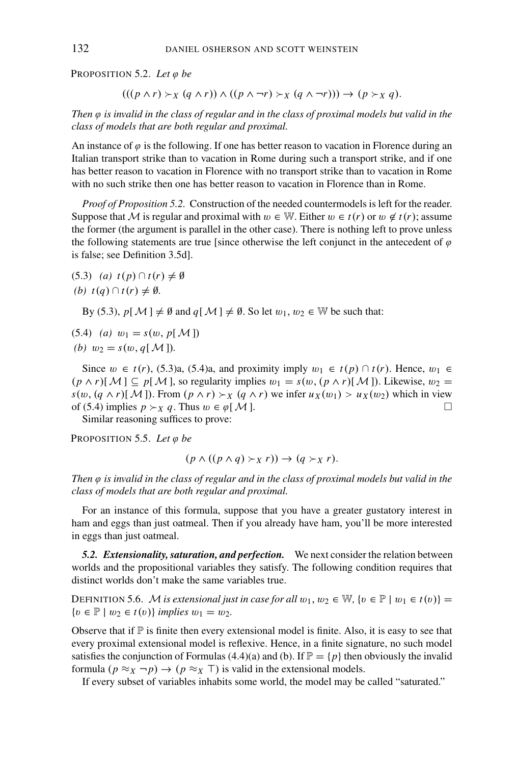PROPOSITION 5.2. Let  $\varphi$  be

 $(((p \land r) \succ_X (q \land r)) \land ((p \land \neg r) \succ_X (q \land \neg r))) \rightarrow (p \succ_X q).$ 

*Then* ϕ *is invalid in the class of regular and in the class of proximal models but valid in the class of models that are both regular and proximal.*

An instance of  $\varphi$  is the following. If one has better reason to vacation in Florence during an Italian transport strike than to vacation in Rome during such a transport strike, and if one has better reason to vacation in Florence with no transport strike than to vacation in Rome with no such strike then one has better reason to vacation in Florence than in Rome.

*Proof of Proposition 5.2.* Construction of the needed countermodels is left for the reader. Suppose that M is regular and proximal with  $w \in \mathbb{W}$ . Either  $w \in t(r)$  or  $w \notin t(r)$ ; assume the former (the argument is parallel in the other case). There is nothing left to prove unless the following statements are true [since otherwise the left conjunct in the antecedent of  $\varphi$ is false; see Definition 3.5d].

(5.3) (a) 
$$
t(p) \cap t(r) \neq \emptyset
$$
  
(b)  $t(q) \cap t(r) \neq \emptyset$ .

By (5.3),  $p[M] \neq \emptyset$  and  $q[M] \neq \emptyset$ . So let  $w_1, w_2 \in \mathbb{W}$  be such that:

(5.4) (a) 
$$
w_1 = s(w, p[M])
$$
  
(b)  $w_2 = s(w, q[M])$ .

Since  $w \text{ } \in t(r)$ , (5.3)a, (5.4)a, and proximity imply  $w_1 \in t(p) \cap t(r)$ . Hence,  $w_1 \in$  $(p \wedge r)[\mathcal{M}] \subseteq p[\mathcal{M}]$ , so regularity implies  $w_1 = s(w, (p \wedge r)[\mathcal{M}])$ . Likewise,  $w_2 =$ *s*(*w*, (*q* ∧ *r*)[*M*]). From (*p* ∧ *r*)  $\times$ *x* (*q* ∧ *r*) we infer *u<sub>X</sub>*(*w*<sub>1</sub>) > *u<sub>X</sub>*(*w*<sub>2</sub>) which in view of (5.4) implies *p*  $\times$ *y a*. Thus *w* ∈ *ø*[*M*] of (5.4) implies  $p \succ_X q$ . Thus  $w \in \varphi[\mathcal{M}]$ .

Similar reasoning suffices to prove:

PROPOSITION 5.5. Let  $\varphi$  be

$$
(p \land ((p \land q) \succ_X r)) \rightarrow (q \succ_X r).
$$

*Then φ is invalid in the class of regular and in the class of proximal models but valid in the class of models that are both regular and proximal.*

For an instance of this formula, suppose that you have a greater gustatory interest in ham and eggs than just oatmeal. Then if you already have ham, you'll be more interested in eggs than just oatmeal.

*5.2. Extensionality, saturation, and perfection.* We next consider the relation between worlds and the propositional variables they satisfy. The following condition requires that distinct worlds don't make the same variables true.

DEFINITION 5.6. M *is extensional just in case for all*  $w_1, w_2 \in \mathbb{W}$ ,  $\{v \in \mathbb{P} \mid w_1 \in t(v)\}$  = { $v ∈ \mathbb{P}$  |  $w_2 ∈ t(v)$ } *implies*  $w_1 = w_2$ .

Observe that if  $\mathbb P$  is finite then every extensional model is finite. Also, it is easy to see that every proximal extensional model is reflexive. Hence, in a finite signature, no such model satisfies the conjunction of Formulas (4.4)(a) and (b). If  $\mathbb{P} = \{p\}$  then obviously the invalid formula  $(p \approx_X \neg p) \rightarrow (p \approx_X \top)$  is valid in the extensional models.

If every subset of variables inhabits some world, the model may be called "saturated."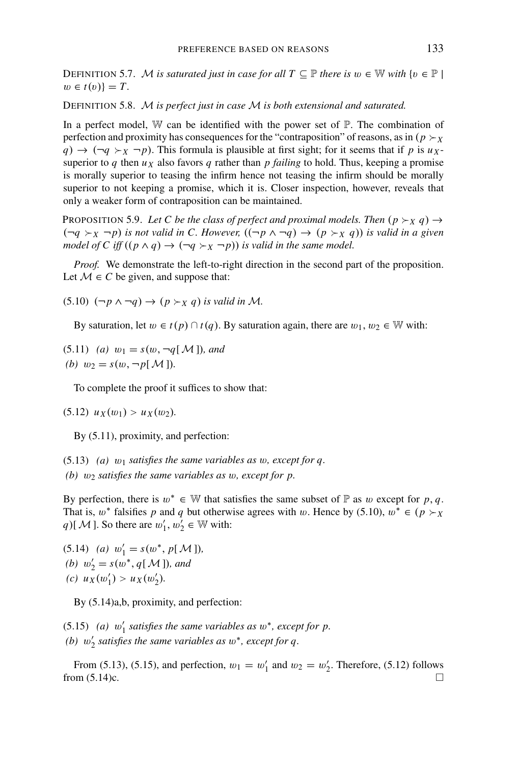DEFINITION 5.7. M *is saturated just in case for all*  $T \subseteq \mathbb{P}$  *there is*  $w \in \mathbb{W}$  *with*  $\{v \in \mathbb{P} \mid$  $w \in t(v)$ } = *T*.

DEFINITION 5.8. M *is perfect just in case* M *is both extensional and saturated.*

In a perfect model,  $\mathbb W$  can be identified with the power set of  $\mathbb P$ . The combination of perfection and proximity has consequences for the "contraposition" of reasons, as in ( $p \succ x$  $q$ )  $\rightarrow$   $(\neg q \succ_X \neg p)$ . This formula is plausible at first sight; for it seems that if *p* is *u<sub>X</sub>*superior to *q* then  $u<sub>X</sub>$  also favors *q* rather than *p* failing to hold. Thus, keeping a promise is morally superior to teasing the infirm hence not teasing the infirm should be morally superior to not keeping a promise, which it is. Closer inspection, however, reveals that only a weaker form of contraposition can be maintained.

PROPOSITION 5.9. Let C be the class of perfect and proximal models. Then  $(p \succ_X q) \rightarrow$  $(\neg q \succ_X \neg p)$  *is not valid in C. However,*  $((\neg p \land \neg q) \rightarrow (p \succ_X q))$  *is valid in a given model of C iff*  $((p \land q) \rightarrow (\neg q \succ_X \neg p))$  *is valid in the same model.* 

*Proof.* We demonstrate the left-to-right direction in the second part of the proposition. Let  $M \in C$  be given, and suppose that:

 $(5.10)$   $(\neg p \land \neg q) \rightarrow (p \succ_X q)$  *is valid in M*.

By saturation, let  $w \in t(p) \cap t(q)$ . By saturation again, there are  $w_1, w_2 \in \mathbb{W}$  with:

 $(5.11)$  *(a)*  $w_1 = s(w, \neg q[M])$ *, and (b)*  $w_2 = s(w, \neg p[M])$ .

To complete the proof it suffices to show that:

 $(5.12)$   $u_X(w_1) > u_X(w_2)$ .

By (5.11), proximity, and perfection:

(5.13) *(a)* w<sup>1</sup> *satisfies the same variables as* w*, except for q. (b)* w<sup>2</sup> *satisfies the same variables as* w*, except for p.*

By perfection, there is  $w^* \in \mathbb{W}$  that satisfies the same subset of  $\mathbb{P}$  as w except for p, q. That is,  $w^*$  falsifies p and q but otherwise agrees with w. Hence by (5.10),  $w^* \in (p \succ_X)$ *q*)[ $M$ ]. So there are  $w'_1, w'_2 \in \mathbb{W}$  with:

(5.14) *(a)*  $w'_1 = s(w^*, p[M]),$ *(b)*  $w'_2 = s(w^*, q[M])$ *, and* (*c*)  $u_X(w'_1) > u_X(w'_2)$ .

By (5.14)a,b, proximity, and perfection:

(5.15) *(a)*  $w'_1$  *satisfies the same variables as*  $w^*$ *, except for p. (b)* w <sup>2</sup> *satisfies the same variables as* w∗*, except for q.*

From (5.13), (5.15), and perfection,  $w_1 = w'_1$  and  $w_2 = w'_2$ . Therefore, (5.12) follows from  $(5.14)c$ .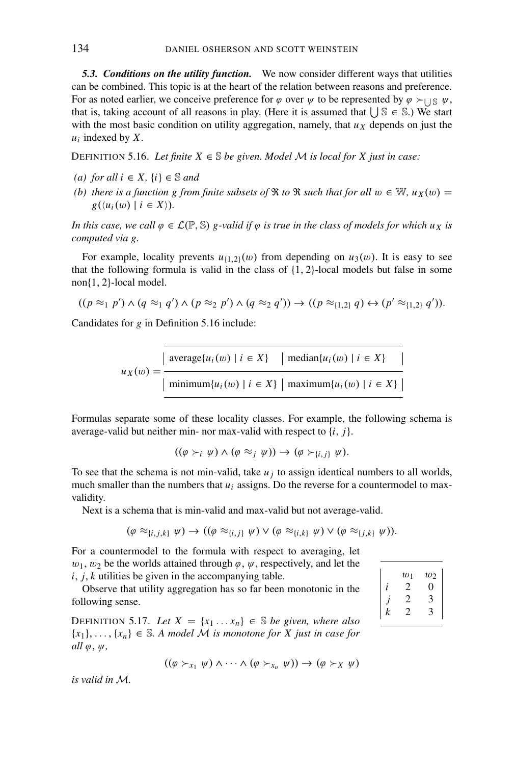*5.3. Conditions on the utility function.* We now consider different ways that utilities can be combined. This topic is at the heart of the relation between reasons and preference. For as noted earlier, we conceive preference for  $\varphi$  over  $\psi$  to be represented by  $\varphi \succ_{\bigcup \mathbb{S}} \psi$ , that is, taking account of all reasons in play. (Here it is assumed that  $\bigcup \mathbb{S} \in \mathbb{S}$ .) We start with the most basic condition on utility aggregation, namely, that  $u<sub>X</sub>$  depends on just the *ui* indexed by *X*.

DEFINITION 5.16. *Let finite*  $X \in \mathbb{S}$  *be given. Model M is local for X just in case:* 

- *(a)* for all  $i \in X$ ,  $\{i\} \in \mathbb{S}$  and
- *(b) there is a function g from finite subsets of*  $\Re$  *to*  $\Re$  *such that for all*  $w \in \mathbb{W}$ *,*  $u_X(w) =$  $g(\langle u_i(w) \mid i \in X \rangle).$

*In this case, we call*  $\varphi \in \mathcal{L}(\mathbb{P}, \mathbb{S})$  *g-valid if*  $\varphi$  *is true in the class of models for which ux is computed via g.*

For example, locality prevents  $u_{\{1,2\}}(w)$  from depending on  $u_3(w)$ . It is easy to see that the following formula is valid in the class of  $\{1, 2\}$ -local models but false in some non{1, 2}-local model.

$$
((p \approx_1 p') \land (q \approx_1 q') \land (p \approx_2 p') \land (q \approx_2 q')) \rightarrow ((p \approx_{\{1,2\}} q) \leftrightarrow (p' \approx_{\{1,2\}} q')).
$$

Candidates for *g* in Definition 5.16 include:

$$
u_X(w) = \frac{|\operatorname{average}\{u_i(w) \mid i \in X\} \mid \operatorname{median}\{u_i(w) \mid i \in X\}}{|\operatorname{minimum}\{u_i(w) \mid i \in X\} \mid \operatorname{maximum}\{u_i(w) \mid i \in X\}|}
$$

Formulas separate some of these locality classes. For example, the following schema is average-valid but neither min- nor max-valid with respect to {*i*, *j*}.

$$
((\varphi \succ_i \psi) \land (\varphi \approx_j \psi)) \to (\varphi \succ_{\{i,j\}} \psi).
$$

To see that the schema is not min-valid, take  $u_j$  to assign identical numbers to all worlds, much smaller than the numbers that  $u_i$  assigns. Do the reverse for a countermodel to maxvalidity.

Next is a schema that is min-valid and max-valid but not average-valid.

$$
(\varphi \approx_{\{i,j,k\}} \psi) \to ((\varphi \approx_{\{i,j\}} \psi) \vee (\varphi \approx_{\{i,k\}} \psi) \vee (\varphi \approx_{\{j,k\}} \psi)).
$$

For a countermodel to the formula with respect to averaging, let  $w_1, w_2$  be the worlds attained through  $\varphi, \psi$ , respectively, and let the *i*, *j*, *k* utilities be given in the accompanying table.

Observe that utility aggregation has so far been monotonic in the following sense.

DEFINITION 5.17. Let  $X = \{x_1 \dots x_n\} \in \mathbb{S}$  be given, where also  ${x_1},..., {x_n} \in \mathbb{S}$ . A model M is monotone for X just in case for  $all \varphi, \psi,$ 

$$
((\varphi \succ_{x_1} \psi) \land \cdots \land (\varphi \succ_{x_n} \psi)) \rightarrow (\varphi \succ_X \psi)
$$

*is valid in* M*.*

|    | $w_1$ | $w_2$ |  |
|----|-------|-------|--|
| İ. |       |       |  |
|    |       |       |  |
| k  |       |       |  |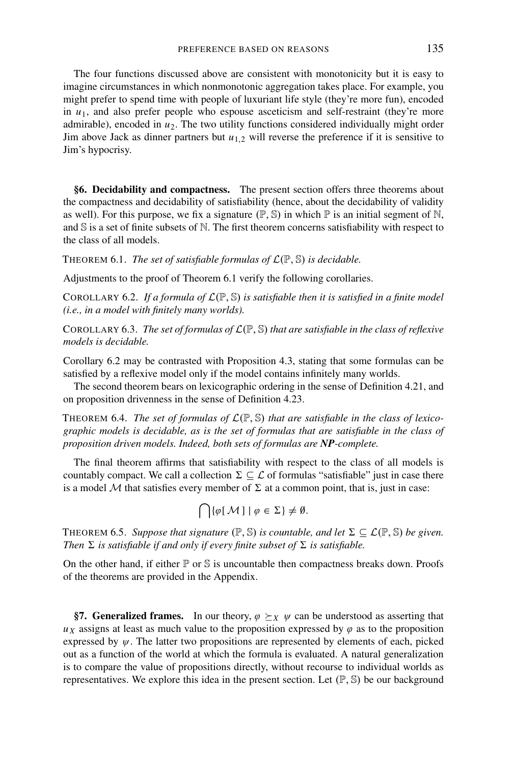The four functions discussed above are consistent with monotonicity but it is easy to imagine circumstances in which nonmonotonic aggregation takes place. For example, you might prefer to spend time with people of luxuriant life style (they're more fun), encoded in  $u_1$ , and also prefer people who espouse asceticism and self-restraint (they're more admirable), encoded in *u*2. The two utility functions considered individually might order Jim above Jack as dinner partners but  $u_{1,2}$  will reverse the preference if it is sensitive to Jim's hypocrisy.

**§6. Decidability and compactness.** The present section offers three theorems about the compactness and decidability of satisfiability (hence, about the decidability of validity as well). For this purpose, we fix a signature  $(\mathbb{P}, \mathbb{S})$  in which  $\mathbb{P}$  is an initial segment of N, and  $\mathbb S$  is a set of finite subsets of  $\mathbb N$ . The first theorem concerns satisfiability with respect to the class of all models.

THEOREM 6.1. *The set of satisfiable formulas of*  $\mathcal{L}(\mathbb{P}, \mathbb{S})$  *is decidable.* 

Adjustments to the proof of Theorem 6.1 verify the following corollaries.

COROLLARY 6.2. If a formula of  $\mathcal{L}(\mathbb{P}, \mathbb{S})$  is satisfiable then it is satisfied in a finite model *(i.e., in a model with finitely many worlds).*

COROLLARY 6.3. *The set of formulas of* <sup>L</sup>(P, <sup>S</sup>) *that are satisfiable in the class of reflexive models is decidable.*

Corollary 6.2 may be contrasted with Proposition 4.3, stating that some formulas can be satisfied by a reflexive model only if the model contains infinitely many worlds.

The second theorem bears on lexicographic ordering in the sense of Definition 4.21, and on proposition drivenness in the sense of Definition 4.23.

THEOREM 6.4. *The set of formulas of*  $\mathcal{L}(\mathbb{P}, \mathbb{S})$  *that are satisfiable in the class of lexicographic models is decidable, as is the set of formulas that are satisfiable in the class of proposition driven models. Indeed, both sets of formulas are NP-complete.*

The final theorem affirms that satisfiability with respect to the class of all models is countably compact. We call a collection  $\Sigma \subseteq \mathcal{L}$  of formulas "satisfiable" just in case there is a model  $M$  that satisfies every member of  $\Sigma$  at a common point, that is, just in case:

$$
\bigcap \{ \varphi \,[\, \mathcal{M} \,] \mid \varphi \in \Sigma \} \neq \emptyset.
$$

THEOREM 6.5. *Suppose that signature*  $(\mathbb{P}, \mathbb{S})$  *is countable, and let*  $\Sigma \subseteq \mathcal{L}(\mathbb{P}, \mathbb{S})$  *be given. Then*  $\Sigma$  *is satisfiable if and only if every finite subset of*  $\Sigma$  *is satisfiable.* 

On the other hand, if either  $\mathbb P$  or  $\mathbb S$  is uncountable then compactness breaks down. Proofs of the theorems are provided in the Appendix.

§7. Generalized frames. In our theory,  $\varphi \succeq_X \psi$  can be understood as asserting that  $u_x$  assigns at least as much value to the proposition expressed by  $\varphi$  as to the proposition expressed by  $\psi$ . The latter two propositions are represented by elements of each, picked out as a function of the world at which the formula is evaluated. A natural generalization is to compare the value of propositions directly, without recourse to individual worlds as representatives. We explore this idea in the present section. Let  $(\mathbb{P}, \mathbb{S})$  be our background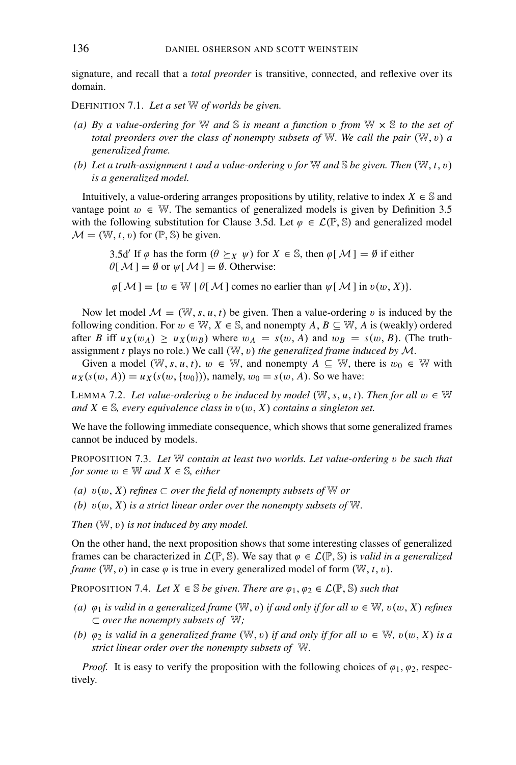signature, and recall that a *total preorder* is transitive, connected, and reflexive over its domain.

DEFINITION 7.1. *Let a set* W *of worlds be given.*

- *(a) By a value-ordering for* <sup>W</sup> *and* <sup>S</sup> *is meant a function* <sup>v</sup> *from* <sup>W</sup> <sup>×</sup> <sup>S</sup> *to the set of total preorders over the class of nonempty subsets of* W. We call the pair  $(W, v)$  a *generalized frame.*
- *(b)* Let a truth-assignment t and a value-ordering v for  $\mathbb{W}$  and  $\mathbb{S}$  be given. Then  $(\mathbb{W}, t, v)$ *is a generalized model.*

Intuitively, a value-ordering arranges propositions by utility, relative to index  $X \in \mathbb{S}$  and vantage point  $w \in W$ . The semantics of generalized models is given by Definition 3.5 with the following substitution for Clause 3.5d. Let  $\varphi \in \mathcal{L}(\mathbb{P}, \mathbb{S})$  and generalized model  $M = (\mathbb{W}, t, v)$  for  $(\mathbb{P}, \mathbb{S})$  be given.

3.5d' If  $\varphi$  has the form  $(\theta \succ_X \psi)$  for  $X \in \mathbb{S}$ , then  $\varphi[\mathcal{M}] = \emptyset$  if either  $\theta[\mathcal{M}] = \emptyset$  or  $\psi[\mathcal{M}] = \emptyset$ . Otherwise:

 $\varphi[M] = \{w \in \mathbb{W} \mid \theta[M] \text{ comes no earlier than } \psi[M] \text{ in } v(w, X)\}.$ 

Now let model  $\mathcal{M} = (\mathbb{W}, s, u, t)$  be given. Then a value-ordering v is induced by the following condition. For  $w \in \mathbb{W}$ ,  $X \in \mathbb{S}$ , and nonempty  $A, B \subseteq \mathbb{W}$ , A is (weakly) ordered after *B* iff  $u_X(w_A) \ge u_X(w_B)$  where  $w_A = s(w, A)$  and  $w_B = s(w, B)$ . (The truthassignment *t* plays no role.) We call  $(W, v)$  *the generalized frame induced by*  $M$ .

Given a model ( $\mathbb{W}, s, u, t$ ),  $w \in \mathbb{W}$ , and nonempty  $A \subseteq \mathbb{W}$ , there is  $w_0 \in \mathbb{W}$  with  $u_X(s(w, A)) = u_X(s(w, \{w_0\}))$ , namely,  $w_0 = s(w, A)$ . So we have:

LEMMA 7.2. Let value-ordering v be induced by model ( $\mathbb{W}, s, u, t$ ). Then for all  $w \in \mathbb{W}$ *and*  $X$  ∈ S, every equivalence class in  $v(w, X)$  contains a singleton set.

We have the following immediate consequence, which shows that some generalized frames cannot be induced by models.

PROPOSITION 7.3. *Let* W *contain at least two worlds. Let value-ordering* v *be such that for some*  $w \in \mathbb{W}$  *and*  $X \in \mathbb{S}$ *, either* 

- *(a)*  $v(w, X)$  *refines* ⊂ *over the field of nonempty subsets of W or*
- *(b)*  $v(w, X)$  *is a strict linear order over the nonempty subsets of* W.

*Then*  $(W, v)$  *is not induced by any model.* 

On the other hand, the next proposition shows that some interesting classes of generalized frames can be characterized in  $\mathcal{L}(\mathbb{P}, \mathbb{S})$ . We say that  $\varphi \in \mathcal{L}(\mathbb{P}, \mathbb{S})$  is *valid in a generalized frame* (W, v) in case  $\varphi$  is true in every generalized model of form (W, t, v).

PROPOSITION 7.4. *Let*  $X \in \mathbb{S}$  *be given. There are*  $\varphi_1, \varphi_2 \in \mathcal{L}(\mathbb{P}, \mathbb{S})$  *such that* 

- *(a)*  $\varphi_1$  *is valid in a generalized frame* (W, v) *if and only if for all*  $w \in W$ ,  $v(w, X)$  *refines* <sup>⊂</sup> *over the nonempty subsets of* <sup>W</sup>*;*
- *(b)*  $\varphi_2$  *is valid in a generalized frame* ( $\mathbb{W}, v$ ) *if and only if for all*  $w \in \mathbb{W}$ ,  $v(w, X)$  *is a strict linear order over the nonempty subsets of* W*.*

*Proof.* It is easy to verify the proposition with the following choices of  $\varphi_1$ ,  $\varphi_2$ , respectively.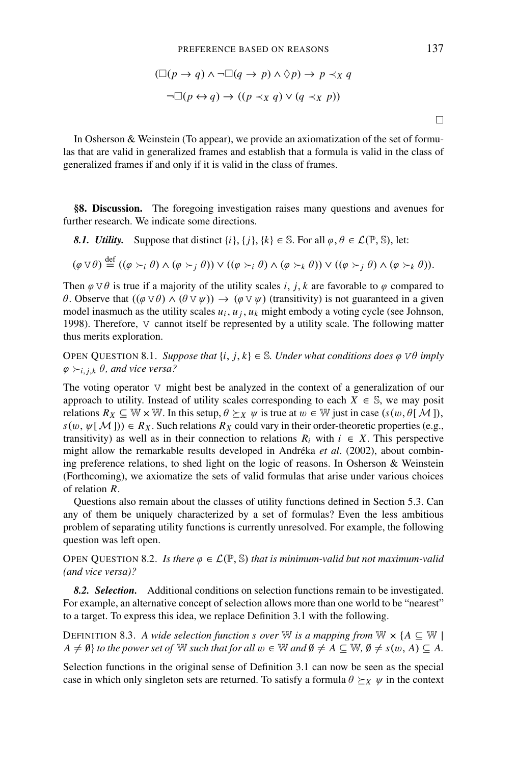$$
(\Box (p \to q) \land \neg \Box (q \to p) \land \Diamond p) \to p \prec_X q
$$

$$
\neg \Box (p \leftrightarrow q) \to ((p \prec_X q) \lor (q \prec_X p))
$$

In Osherson & Weinstein (To appear), we provide an axiomatization of the set of formulas that are valid in generalized frames and establish that a formula is valid in the class of generalized frames if and only if it is valid in the class of frames.

**§8. Discussion.** The foregoing investigation raises many questions and avenues for further research. We indicate some directions.

*8.1. Utility.* Suppose that distinct  $\{i\}$ ,  $\{j\}$ ,  $\{k\} \in \mathbb{S}$ . For all  $\varphi$ ,  $\theta \in \mathcal{L}(\mathbb{P}, \mathbb{S})$ , let:

$$
(\varphi \vee \theta) \stackrel{\text{def}}{=} ((\varphi \succ_i \theta) \wedge (\varphi \succ_j \theta)) \vee ((\varphi \succ_i \theta) \wedge (\varphi \succ_k \theta)) \vee ((\varphi \succ_j \theta) \wedge (\varphi \succ_k \theta)).
$$

Then  $\varphi \lor \theta$  is true if a majority of the utility scales *i*, *j*, *k* are favorable to  $\varphi$  compared to θ. Observe that  $((φ ∨ θ) ∧ (θ ∨ ψ)) → (φ ∨ ψ)$  (transitivity) is not guaranteed in a given model inasmuch as the utility scales  $u_i$ ,  $u_j$ ,  $u_k$  might embody a voting cycle (see Johnson, 1998). Therefore, V cannot itself be represented by a utility scale. The following matter thus merits exploration.

OPEN QUESTION 8.1. *Suppose that*  $\{i, j, k\} \in \mathbb{S}$ *. Under what conditions does*  $\varphi \nabla \theta$  *imply*  $\varphi \succ_{i,j,k} \theta$ , and vice versa?

The voting operator V might best be analyzed in the context of a generalization of our approach to utility. Instead of utility scales corresponding to each  $X \in \mathbb{S}$ , we may posit relations  $R_X \subseteq \mathbb{W} \times \mathbb{W}$ . In this setup,  $\theta \succeq_X \psi$  is true at  $w \in \mathbb{W}$  just in case  $(s(w, \theta | \mathcal{M})),$  $s(w, \psi[\mathcal{M}])) \in R_X$ . Such relations  $R_X$  could vary in their order-theoretic properties (e.g., transitivity) as well as in their connection to relations  $R_i$  with  $i \in X$ . This perspective might allow the remarkable results developed in Andréka et al. (2002), about combining preference relations, to shed light on the logic of reasons. In Osherson & Weinstein (Forthcoming), we axiomatize the sets of valid formulas that arise under various choices of relation *R*.

Questions also remain about the classes of utility functions defined in Section 5.3. Can any of them be uniquely characterized by a set of formulas? Even the less ambitious problem of separating utility functions is currently unresolved. For example, the following question was left open.

OPEN QUESTION 8.2. *Is there*  $\varphi \in \mathcal{L}(\mathbb{P}, \mathbb{S})$  *that is minimum-valid but not maximum-valid (and vice versa)?*

*8.2. Selection.* Additional conditions on selection functions remain to be investigated. For example, an alternative concept of selection allows more than one world to be "nearest" to a target. To express this idea, we replace Definition 3.1 with the following.

DEFINITION 8.3. *A wide selection function s over* W *is a mapping from*  $\mathbb{W} \times \{A \subseteq \mathbb{W} \mid$  $A \neq \emptyset$  *to the power set of* W *such that for all*  $w \in \mathbb{W}$  *and*  $\emptyset \neq A \subseteq \mathbb{W}$ ,  $\emptyset \neq s(w, A) \subseteq A$ .

Selection functions in the original sense of Definition 3.1 can now be seen as the special case in which only singleton sets are returned. To satisfy a formula  $\theta \succeq_X \psi$  in the context

 $\Box$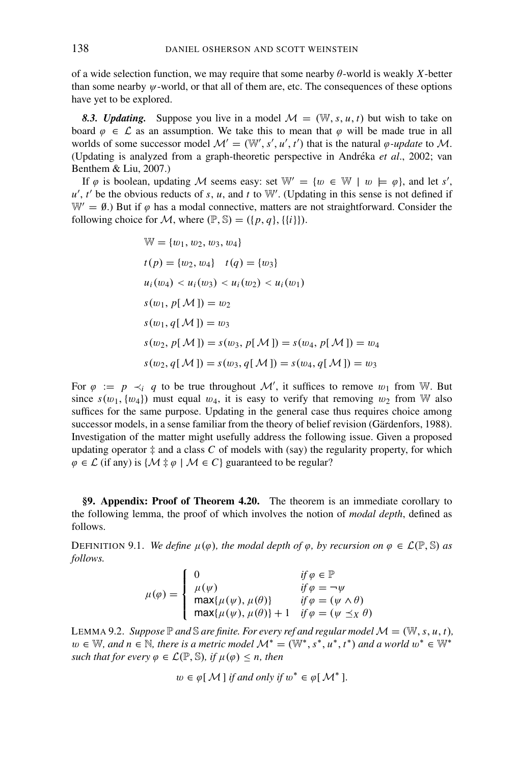of a wide selection function, we may require that some nearby θ-world is weakly *X*-better than some nearby  $\psi$ -world, or that all of them are, etc. The consequences of these options have yet to be explored.

8.3. Updating. Suppose you live in a model  $\mathcal{M} = (\mathbb{W}, s, u, t)$  but wish to take on board  $\varphi \in \mathcal{L}$  as an assumption. We take this to mean that  $\varphi$  will be made true in all worlds of some successor model  $\mathcal{M}' = (\mathbb{W}', s', u', t')$  that is the natural  $\varphi$ -update to M. (Updating is analyzed from a graph-theoretic perspective in Andréka et al., 2002; van Benthem & Liu, 2007.)

If  $\varphi$  is boolean, updating M seems easy: set  $\mathbb{W}' = \{w \in \mathbb{W} \mid w \models \varphi\}$ , and let *s'*,  $u'$ ,  $t'$  be the obvious reducts of *s*, *u*, and *t* to W'. (Updating in this sense is not defined if  $W' = \emptyset$ .) But if  $\varphi$  has a modal connective, matters are not straightforward. Consider the following choice for M, where  $(\mathbb{P}, \mathbb{S}) = (\{p, q\}, \{\{i\}\}).$ 

$$
\mathbb{W} = \{w_1, w_2, w_3, w_4\}
$$
  
\n
$$
t(p) = \{w_2, w_4\} \quad t(q) = \{w_3\}
$$
  
\n
$$
u_i(w_4) < u_i(w_3) < u_i(w_2) < u_i(w_1)
$$
  
\n
$$
s(w_1, p[\mathcal{M}]) = w_2
$$
  
\n
$$
s(w_1, q[\mathcal{M}]) = w_3
$$
  
\n
$$
s(w_2, p[\mathcal{M}]) = s(w_3, p[\mathcal{M}]) = s(w_4, p[\mathcal{M}]) = w_4
$$
  
\n
$$
s(w_2, q[\mathcal{M}]) = s(w_3, q[\mathcal{M}]) = s(w_4, q[\mathcal{M}]) = w_3
$$

For  $\varphi := p \prec_i q$  to be true throughout M', it suffices to remove  $w_1$  from W. But since  $s(w_1, \{w_4\})$  must equal  $w_4$ , it is easy to verify that removing  $w_2$  from W also suffices for the same purpose. Updating in the general case thus requires choice among successor models, in a sense familiar from the theory of belief revision (Gärdenfors, 1988). Investigation of the matter might usefully address the following issue. Given a proposed updating operator  $\ddagger$  and a class  $C$  of models with (say) the regularity property, for which  $\varphi \in \mathcal{L}$  (if any) is  $\{M \neq \varphi \mid M \in C\}$  guaranteed to be regular?

**§9. Appendix: Proof of Theorem 4.20.** The theorem is an immediate corollary to the following lemma, the proof of which involves the notion of *modal depth*, defined as follows.

DEFINITION 9.1. *We define*  $\mu(\varphi)$ *, the modal depth of*  $\varphi$ *, by recursion on*  $\varphi \in \mathcal{L}(\mathbb{P}, \mathbb{S})$  *as follows.*

$$
\mu(\varphi) = \begin{cases}\n0 & \text{if } \varphi \in \mathbb{P} \\
\mu(\psi) & \text{if } \varphi = -\psi \\
\max{\mu(\psi), \mu(\theta)} & \text{if } \varphi = (\psi \wedge \theta) \\
\max{\mu(\psi), \mu(\theta)} + 1 & \text{if } \varphi = (\psi \preceq_X \theta)\n\end{cases}
$$

LEMMA 9.2. *Suppose*  $\mathbb P$  *and*  $\mathbb S$  *are finite. For every ref and regular model*  $\mathcal M = (\mathbb W, s, u, t)$ *,*  $w \in \mathbb{W}$ , and  $n \in \mathbb{N}$ , there is a metric model  $\mathcal{M}^* = (\mathbb{W}^*, s^*, u^*, t^*)$  and a world  $w^* \in \mathbb{W}^*$ *such that for every*  $\varphi \in \mathcal{L}(\mathbb{P}, \mathbb{S})$ *, if*  $\mu(\varphi) \leq n$ *, then* 

 $w \in \varphi[M]$  *if and only if*  $w^* \in \varphi[M^*]$ .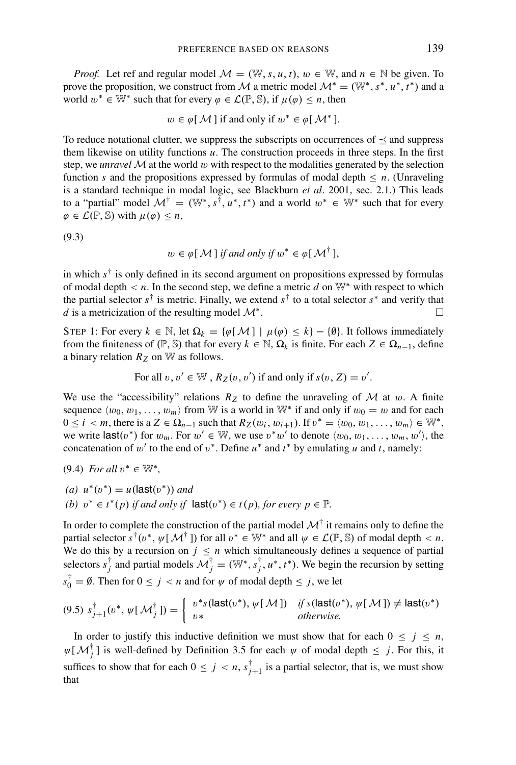*Proof.* Let ref and regular model  $M = (\mathbb{W}, s, u, t)$ ,  $w \in \mathbb{W}$ , and  $n \in \mathbb{N}$  be given. To prove the proposition, we construct from M a metric model  $\mathcal{M}^* = (\mathbb{W}^*, s^*, u^*, t^*)$  and a world  $w^* \in \mathbb{W}^*$  such that for every  $\varphi \in \mathcal{L}(\mathbb{P}, \mathbb{S})$ , if  $\mu(\varphi) \leq n$ , then

$$
w \in \varphi[M]
$$
 if and only if  $w^* \in \varphi[M^*]$ .

To reduce notational clutter, we suppress the subscripts on occurrences of  $\prec$  and suppress them likewise on utility functions  $u$ . The construction proceeds in three steps. In the first step, we *unravel*  $\mathcal M$  at the world  $w$  with respect to the modalities generated by the selection function *s* and the propositions expressed by formulas of modal depth  $\leq n$ . (Unraveling is a standard technique in modal logic, see Blackburn *et al*. 2001, sec. 2.1.) This leads to a "partial" model  $\mathcal{M}^{\dagger} = (\mathbb{W}^*, s^{\dagger}, u^*, t^*)$  and a world  $w^* \in \mathbb{W}^*$  such that for every  $\varphi \in \mathcal{L}(\mathbb{P}, \mathbb{S})$  with  $\mu(\varphi) < n$ ,

(9.3)

$$
w \in \varphi[M]
$$
 if and only if  $w^* \in \varphi[M^{\dagger}],$ 

in which *s*† is only defined in its second argument on propositions expressed by formulas of modal depth  $\lt n$ . In the second step, we define a metric *d* on W<sup>\*</sup> with respect to which the partial selector  $s^{\dagger}$  is metric. Finally, we extend  $s^{\dagger}$  to a total selector  $s^*$  and verify that *d* is a metricization of the resulting model  $\mathcal{M}^*$ .  $\Box$ 

STEP 1: For every  $k \in \mathbb{N}$ , let  $\Omega_k = {\varphi[\mathcal{M}] | \mu(\varphi) \leq k} - {\vartheta}$ . It follows immediately from the finiteness of ( $\mathbb{P}, \mathbb{S}$ ) that for every  $k \in \mathbb{N}, \Omega_k$  is finite. For each  $Z \in \Omega_{n-1}$ , define a binary relation  $R_Z$  on  $\mathbb W$  as follows.

For all 
$$
v, v' \in \mathbb{W}
$$
,  $R_Z(v, v')$  if and only if  $s(v, Z) = v'$ .

We use the "accessibility" relations  $R_Z$  to define the unraveling of  $M$  at  $w$ . A finite sequence  $\langle w_0, w_1, \ldots, w_m \rangle$  from W is a world in W<sup>\*</sup> if and only if  $w_0 = w$  and for each  $0 \le i < m$ , there is a  $Z \in \Omega_{n-1}$  such that  $R_Z(w_i, w_{i+1})$ . If  $v^* = \langle w_0, w_1, \ldots, w_m \rangle \in \mathbb{W}^*$ , we write  $\textsf{last}(v^*)$  for  $w_m$ . For  $w' \in \mathbb{W}$ , we use  $v^*w'$  to denote  $\langle w_0, w_1, \ldots, w_m, w' \rangle$ , the concatenation of w' to the end of  $v^*$ . Define  $u^*$  and  $t^*$  by emulating  $u$  and  $t$ , namely:

$$
(9.4) For all v^* \in \mathbb{W}^*,
$$

*(a)*  $u^*(v^*) = u$  (last $(v^*)$ *) and (b)*  $v^* ∈ t^*(p)$  *if and only if*  $\textsf{last}(v^*) ∈ t(p)$ *, for every*  $p ∈ \mathbb{P}$ *.* 

In order to complete the construction of the partial model  $\mathcal{M}^{\dagger}$  it remains only to define the partial selector  $s^{\dagger}(v^*, \psi[\mathcal{M}^{\dagger}])$  for all  $v^* \in \mathbb{W}^*$  and all  $\psi \in \mathcal{L}(\mathbb{P}, \mathbb{S})$  of modal depth  $\langle n, \mathcal{L} \rangle$ We do this by a recursion on  $j \leq n$  which simultaneously defines a sequence of partial selectors  $s_j^{\dagger}$  and partial models  $\mathcal{M}_j^{\dagger} = (\mathbb{W}^*, s_j^{\dagger}, u^*, t^*)$ . We begin the recursion by setting  $s_0^{\dagger} = \emptyset$ . Then for  $0 \le j < n$  and for  $\psi$  of modal depth  $\le j$ , we let

$$
(9.5) \ s_{j+1}^{\dagger}(v^*, \ \psi[\ \mathcal{M}_j^{\dagger}\]) = \left\{ \begin{array}{ll} v^*s(\mathsf{last}(v^*), \ \psi[\ \mathcal{M}\]) & \text{if } s(\mathsf{last}(v^*), \ \psi[\ \mathcal{M}\]) \neq \mathsf{last}(v^*)\\ v^* & \text{otherwise.} \end{array} \right.
$$

In order to justify this inductive definition we must show that for each  $0 \leq j \leq n$ ,  $\psi[\mathcal{M}_j^{\dagger}]$  is well-defined by Definition 3.5 for each  $\psi$  of modal depth  $\leq j$ . For this, it suffices to show that for each  $0 \le j \le n$ ,  $s_{j+1}^{\dagger}$  is a partial selector, that is, we must show that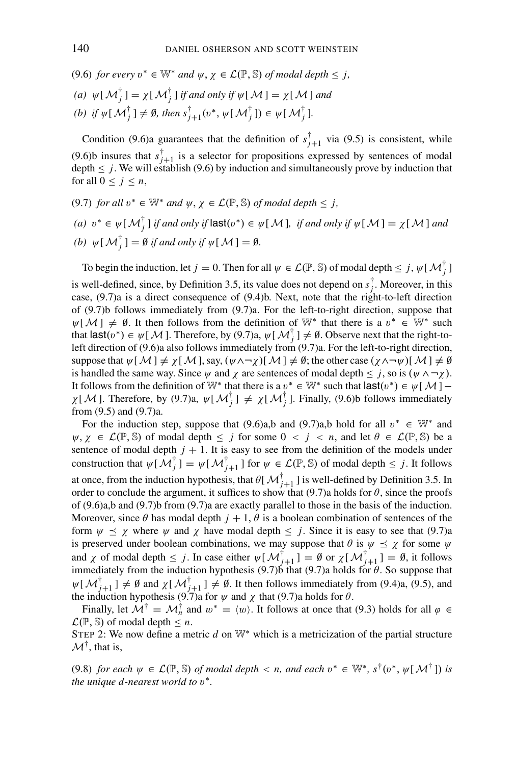(9.6) *for every*  $v^* \in \mathbb{W}^*$  *and*  $\psi, \chi \in \mathcal{L}(\mathbb{P}, \mathbb{S})$  *of modal depth*  $\leq j$ ,

(a) 
$$
\psi[M_j^{\dagger}] = \chi[M_j^{\dagger}]
$$
 if and only if  $\psi[M] = \chi[M]$  and

(b) if 
$$
\psi[\mathcal{M}_j^{\dagger}] \neq \emptyset
$$
, then  $s_{j+1}^{\dagger}(v^*, \psi[\mathcal{M}_j^{\dagger}]) \in \psi[\mathcal{M}_j^{\dagger}].$ 

Condition (9.6)a guarantees that the definition of  $s_{j+1}^{\dagger}$  via (9.5) is consistent, while (9.6)b insures that  $s_{j+1}^{\dagger}$  is a selector for propositions expressed by sentences of modal depth  $\leq j$ . We will establish (9.6) by induction and simultaneously prove by induction that for all  $0 \leq j \leq n$ ,

\n- (9.7) for all 
$$
v^* \in \mathbb{W}^*
$$
 and  $\psi, \chi \in \mathcal{L}(\mathbb{P}, \mathbb{S})$  of modal depth  $\leq j$ ,
\n- (a)  $v^* \in \psi[\mathcal{M}_j^{\dagger}]$  if and only if  $|\text{ast}(v^*) \in \psi[\mathcal{M}]$ , if and only if  $\psi[\mathcal{M}] = \chi[\mathcal{M}]$  and
\n- (b)  $\psi[\mathcal{M}_j^{\dagger}] = \emptyset$  if and only if  $\psi[\mathcal{M}] = \emptyset$ .
\n

To begin the induction, let  $j = 0$ . Then for all  $\psi \in \mathcal{L}(\mathbb{P}, \mathbb{S})$  of modal depth  $\leq j$ ,  $\psi[\mathcal{M}_j^{\dagger}]$ is well-defined, since, by Definition 3.5, its value does not depend on  $s_j^{\dagger}$ . Moreover, in this case, (9.7)a is a direct consequence of (9.4)b. Next, note that the right-to-left direction of (9.7)b follows immediately from (9.7)a. For the left-to-right direction, suppose that  $\psi[\mathcal{M}] \neq \emptyset$ . It then follows from the definition of  $\mathbb{W}^*$  that there is a  $v^* \in \mathbb{W}^*$  such that  $\textsf{last}(v^*) \in \psi[\mathcal{M}]$ . Therefore, by (9.7)a,  $\psi[\mathcal{M}_j^{\dagger}] \neq \emptyset$ . Observe next that the right-toleft direction of (9.6)a also follows immediately from (9.7)a. For the left-to-right direction, suppose that  $\psi[M] \neq \chi[M]$ , say,  $(\psi \land \neg \chi)[M] \neq \emptyset$ ; the other case  $(\chi \land \neg \psi)[M] \neq \emptyset$ is handled the same way. Since  $\psi$  and  $\chi$  are sentences of modal depth  $\leq j$ , so is  $(\psi \land \neg \chi)$ . It follows from the definition of W<sup>∗</sup> that there is a  $v^* \in W^*$  such that  $\textsf{last}(v^*) \in \psi[\mathcal{M}]$  –  $\chi[M]$ . Therefore, by (9.7)a,  $\psi[M_j^{\dagger}] \neq \chi[M_j^{\dagger}]$ . Finally, (9.6)b follows immediately from (9.5) and (9.7)a.

For the induction step, suppose that (9.6)a,b and (9.7)a,b hold for all  $v^* \in \mathbb{W}^*$  and  $\psi, \gamma \in \mathcal{L}(\mathbb{P}, \mathbb{S})$  of modal depth  $\leq j$  for some  $0 \leq j \leq n$ , and let  $\theta \in \mathcal{L}(\mathbb{P}, \mathbb{S})$  be a sentence of modal depth  $j + 1$ . It is easy to see from the definition of the models under construction that  $\psi[M_j^{\dagger}] = \psi[M_{j+1}^{\dagger}]$  for  $\psi \in \mathcal{L}(\mathbb{P}, \mathbb{S})$  of modal depth  $\leq j$ . It follows at once, from the induction hypothesis, that  $\theta[\mathcal{M}_{j+1}^{\dagger}]$  is well-defined by Definition 3.5. In order to conclude the argument, it suffices to show that  $(9.7)$ a holds for  $\theta$ , since the proofs of (9.6)a,b and (9.7)b from (9.7)a are exactly parallel to those in the basis of the induction. Moreover, since  $\theta$  has modal depth  $j + 1$ ,  $\theta$  is a boolean combination of sentences of the form  $\psi \preceq \chi$  where  $\psi$  and  $\chi$  have modal depth  $\leq j$ . Since it is easy to see that (9.7)a is preserved under boolean combinations, we may suppose that  $\theta$  is  $\psi \preceq \chi$  for some  $\psi$ and  $\chi$  of modal depth  $\leq j$ . In case either  $\psi[\mathcal{M}_{j+1}^{\dagger}] = \emptyset$  or  $\chi[\mathcal{M}_{j+1}^{\dagger}] = \emptyset$ , it follows immediately from the induction hypothesis (9.7)b that (9.7)a holds for  $\theta$ . So suppose that  $\psi[\mathcal{M}_{j+1}^{\dagger}] \neq \emptyset$  and  $\chi[\mathcal{M}_{j+1}^{\dagger}] \neq \emptyset$ . It then follows immediately from (9.4)a, (9.5), and the induction hypothesis (9.7)a for  $\psi$  and  $\chi$  that (9.7)a holds for  $\theta$ .

Finally, let  $\mathcal{M}^{\dagger} = \mathcal{M}^{\dagger}_n$  and  $w^* = \langle w \rangle$ . It follows at once that (9.3) holds for all  $\varphi \in \mathcal{M}^{\dagger}$  $\mathcal{L}(\mathbb{P}, \mathbb{S})$  of modal depth  $\leq n$ .

STEP 2: We now define a metric *d* on W<sup>∗</sup> which is a metricization of the partial structure  $\mathcal{M}^{\dagger}$ , that is,

(9.8) *for each*  $\psi \in \mathcal{L}(\mathbb{P}, \mathbb{S})$  *of modal depth*  $\langle n, n \rangle$  *and each*  $v^* \in \mathbb{W}^*, s^{\dagger}(v^*, \psi \restriction \mathcal{M}^{\dagger})$  *is the unique d-nearest world to*  $v^*$ *.*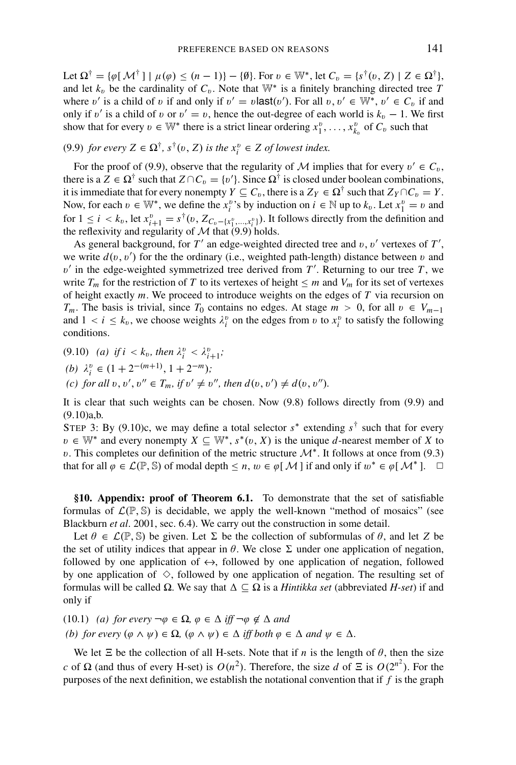Let  $\Omega^{\dagger} = {\varphi[\mathcal{M}^{\dagger}] | \mu(\varphi) \leq (n-1)} - {\varnothing}.$  For  $v \in \mathbb{W}^*$ , let  $C_v = {s^{\dagger}(v, Z) | Z \in \Omega^{\dagger}}$ , and let  $k_v$  be the cardinality of  $C_v$ . Note that W<sup>\*</sup> is a finitely branching directed tree *T* where v' is a child of v if and only if  $v' = v$  last $(v')$ . For all  $v, v' \in \mathbb{W}^*, v' \in C_v$  if and only if v' is a child of v or  $v' = v$ , hence the out-degree of each world is  $k_v - 1$ . We first show that for every  $v \in \mathbb{W}^*$  there is a strict linear ordering  $x_1^v, \ldots, x_{k_v}^v$  of  $C_v$  such that

(9.9) *for every*  $Z \in \Omega^{\dagger}$ ,  $s^{\dagger}(v, Z)$  *is the*  $x_i^v \in Z$  *of lowest index.* 

For the proof of (9.9), observe that the regularity of M implies that for every  $v' \in C_v$ , there is a  $Z \in \Omega^{\dagger}$  such that  $Z \cap C_v = \{v'\}$ . Since  $\Omega^{\dagger}$  is closed under boolean combinations, it is immediate that for every nonempty  $Y \subseteq C_v$ , there is a  $Z_Y \in \Omega^{\dagger}$  such that  $Z_Y \cap C_v = Y$ . Now, for each  $v \in \mathbb{W}^*$ , we define the  $x_i^v$ 's by induction on  $i \in \mathbb{N}$  up to  $k_v$ . Let  $x_1^v = v$  and for  $1 \leq i < k_v$ , let  $x_{i+1}^v = s^{\dagger}(v, Z_{C_v - \{x_1^v, \ldots, x_i^v\}})$ . It follows directly from the definition and the reflexivity and regularity of  $M$  that (9.9) holds.

As general background, for  $T'$  an edge-weighted directed tree and  $v, v'$  vertexes of  $T'$ , we write  $d(v, v')$  for the the ordinary (i.e., weighted path-length) distance between v and  $v'$  in the edge-weighted symmetrized tree derived from  $T'$ . Returning to our tree  $T$ , we write  $T_m$  for the restriction of *T* to its vertexes of height  $\leq m$  and  $V_m$  for its set of vertexes of height exactly *m*. We proceed to introduce weights on the edges of *T* via recursion on *T<sub>m</sub>*. The basis is trivial, since *T*<sub>0</sub> contains no edges. At stage *m* > 0, for all *v* ∈ *V<sub>m</sub>*−1 and  $1 < i \leq k_v$ , we choose weights  $\lambda_i^v$  on the edges from v to  $x_i^v$  to satisfy the following conditions.

- $(9.10)$  *(a)* if  $i < k_v$ , then  $\lambda_i^v < \lambda_{i+1}^v$ ;
- (*b*)  $\lambda_i^v$  ∈ (1 + 2<sup>−(*m*+1)</sup>, 1 + 2<sup>−*m*</sup>)*;*
- *(c)* for all  $v, v', v'' \in T_m$ , if  $v' \neq v''$ , then  $d(v, v') \neq d(v, v'')$ .

It is clear that such weights can be chosen. Now (9.8) follows directly from (9.9) and  $(9.10)a,b.$ 

STEP 3: By (9.10)c, we may define a total selector  $s^*$  extending  $s^{\dagger}$  such that for every  $v \in \mathbb{W}^*$  and every nonempty  $X \subseteq \mathbb{W}^*, s^*(v, X)$  is the unique *d*-nearest member of *X* to v. This completes our definition of the metric structure  $\mathcal{M}^*$ . It follows at once from (9.3) that for all  $\varphi \in \mathcal{L}(\mathbb{P}, \mathbb{S})$  of modal depth  $\leq n, w \in \varphi[\mathcal{M}]$  if and only if  $w^* \in \varphi[\mathcal{M}^*]$ .  $\square$ 

**§10. Appendix: proof of Theorem 6.1.** To demonstrate that the set of satisfiable formulas of  $\mathcal{L}(\mathbb{P}, \mathbb{S})$  is decidable, we apply the well-known "method of mosaics" (see Blackburn *et al*. 2001, sec. 6.4). We carry out the construction in some detail.

Let  $\theta \in \mathcal{L}(\mathbb{P}, \mathbb{S})$  be given. Let  $\Sigma$  be the collection of subformulas of  $\theta$ , and let *Z* be the set of utility indices that appear in  $\theta$ . We close  $\Sigma$  under one application of negation, followed by one application of  $\leftrightarrow$ , followed by one application of negation, followed by one application of  $\Diamond$ , followed by one application of negation. The resulting set of formulas will be called  $\Omega$ . We say that  $\Delta \subseteq \Omega$  is a *Hintikka set* (abbreviated *H-set*) if and only if

(10.1) *(a)* for every  $\neg \varphi \in \Omega$ ,  $\varphi \in \Delta$  iff  $\neg \varphi \notin \Delta$  and *(b) for every*  $(\varphi \land \psi) \in \Omega$ ,  $(\varphi \land \psi) \in \Delta$  *iff both*  $\varphi \in \Delta$  *and*  $\psi \in \Delta$ *.* 

We let  $\Xi$  be the collection of all H-sets. Note that if *n* is the length of  $\theta$ , then the size *c* of  $\Omega$  (and thus of every H-set) is  $O(n^2)$ . Therefore, the size *d* of  $\Xi$  is  $O(2^{n^2})$ . For the purposes of the next definition, we establish the notational convention that if *f* is the graph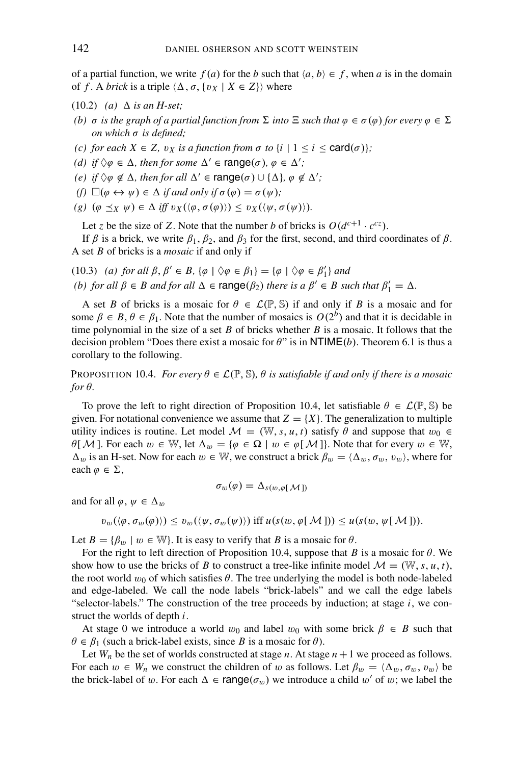of a partial function, we write  $f(a)$  for the *b* such that  $\langle a, b \rangle \in f$ , when *a* is in the domain of *f*. A *brick* is a triple  $\langle \Delta, \sigma, \{v_X \mid X \in Z\} \rangle$  where

- (10.2) *(a)*  $\Delta$  *is an H-set*;
- *(b)*  $\sigma$  *is the graph of a partial function from*  $\Sigma$  *into*  $\Xi$  *such that*  $\varphi \in \sigma(\varphi)$  *for every*  $\varphi \in \Sigma$ *on which* σ *is defined;*
- *(c)* for each  $X \in Z$ ,  $v_X$  *is a function from*  $\sigma$  *to*  $\{i \mid 1 \le i \le \text{card}(\sigma)\}$ ;
- *(d) if*  $\Diamond \varphi \in \Delta$ *, then for some*  $\Delta' \in \text{range}(\sigma)$ *,*  $\varphi \in \Delta'$ *;*
- *(e) if*  $\Diamond \varphi \notin \Delta$ *, then for all*  $\Delta' \in \text{range}(\sigma) \cup \{ \Delta \}, \varphi \notin \Delta';$
- $(f) \Box(\varphi \leftrightarrow \psi) \in \Delta$  *if and only if*  $\sigma(\varphi) = \sigma(\psi)$ *;*
- *(g)*  $(\varphi \preceq_X \psi) \in \Delta \text{ iff } v_X(\langle \varphi, \sigma(\varphi) \rangle) \leq v_X(\langle \psi, \sigma(\psi) \rangle).$

Let *z* be the size of *Z*. Note that the number *b* of bricks is  $O(d^{c+1} \cdot c^{cz})$ .

If  $\beta$  is a brick, we write  $\beta_1$ ,  $\beta_2$ , and  $\beta_3$  for the first, second, and third coordinates of  $\beta$ . A set *B* of bricks is a *mosaic* if and only if

(10.3) *(a)* for all  $\beta, \beta' \in B$ ,  $\{\varphi \mid \Diamond \varphi \in \beta_1\} = \{\varphi \mid \Diamond \varphi \in \beta'_1\}$  and *(b) for all*  $\beta \in B$  *and for all*  $\Delta \in \text{range}(\beta_2)$  *there is a*  $\beta' \in B$  *such that*  $\beta'_1 = \Delta$ *.* 

A set *B* of bricks is a mosaic for  $\theta \in \mathcal{L}(\mathbb{P}, \mathbb{S})$  if and only if *B* is a mosaic and for some  $\beta \in B$ ,  $\theta \in \beta_1$ . Note that the number of mosaics is  $O(2^b)$  and that it is decidable in time polynomial in the size of a set *B* of bricks whether *B* is a mosaic. It follows that the decision problem "Does there exist a mosaic for  $\theta$ " is in NTIME(*b*). Theorem 6.1 is thus a corollary to the following.

**PROPOSITION 10.4.** *For every*  $\theta \in \mathcal{L}(\mathbb{P}, \mathbb{S})$ ,  $\theta$  *is satisfiable if and only if there is a mosaic for* θ*.*

To prove the left to right direction of Proposition 10.4, let satisfiable  $\theta \in \mathcal{L}(\mathbb{P}, \mathbb{S})$  be given. For notational convenience we assume that  $Z = \{X\}$ . The generalization to multiple utility indices is routine. Let model  $\mathcal{M} = (\mathbb{W}, s, u, t)$  satisfy  $\theta$  and suppose that  $w_0 \in$  $\theta[\mathcal{M}]$ . For each  $w \in \mathbb{W}$ , let  $\Delta_w = {\varphi \in \Omega \mid w \in \varphi[\mathcal{M}]}$ . Note that for every  $w \in \mathbb{W}$ ,  $\Delta_w$  is an H-set. Now for each  $w \in \mathbb{W}$ , we construct a brick  $\beta_w = \langle \Delta_w, \sigma_w, v_w \rangle$ , where for each  $\varphi \in \Sigma$ ,

$$
\sigma_w(\varphi)=\Delta_{s(w,\varphi[\mathcal{M}])}
$$

and for all  $\varphi, \psi \in \Delta_w$ 

$$
v_w(\langle \varphi, \sigma_w(\varphi) \rangle) \leq v_w(\langle \psi, \sigma_w(\psi) \rangle) \text{ iff } u(s(w, \varphi[M])) \leq u(s(w, \psi[M]))
$$

Let  $B = \{\beta_w \mid w \in \mathbb{W}\}\$ . It is easy to verify that *B* is a mosaic for  $\theta$ .

For the right to left direction of Proposition 10.4, suppose that *B* is a mosaic for  $\theta$ . We show how to use the bricks of *B* to construct a tree-like infinite model  $\mathcal{M} = (\mathbb{W}, s, u, t)$ , the root world  $w_0$  of which satisfies  $\theta$ . The tree underlying the model is both node-labeled and edge-labeled. We call the node labels "brick-labels" and we call the edge labels "selector-labels." The construction of the tree proceeds by induction; at stage *i*, we construct the worlds of depth *i*.

At stage 0 we introduce a world  $w_0$  and label  $w_0$  with some brick  $\beta \in B$  such that  $\theta \in \beta_1$  (such a brick-label exists, since *B* is a mosaic for  $\theta$ ).

Let  $W_n$  be the set of worlds constructed at stage  $n$ . At stage  $n + 1$  we proceed as follows. For each  $w \in W_n$  we construct the children of w as follows. Let  $\beta_w = \langle \Delta_w, \sigma_w, v_w \rangle$  be the brick-label of w. For each  $\Delta \in \text{range}(\sigma_w)$  we introduce a child w' of w; we label the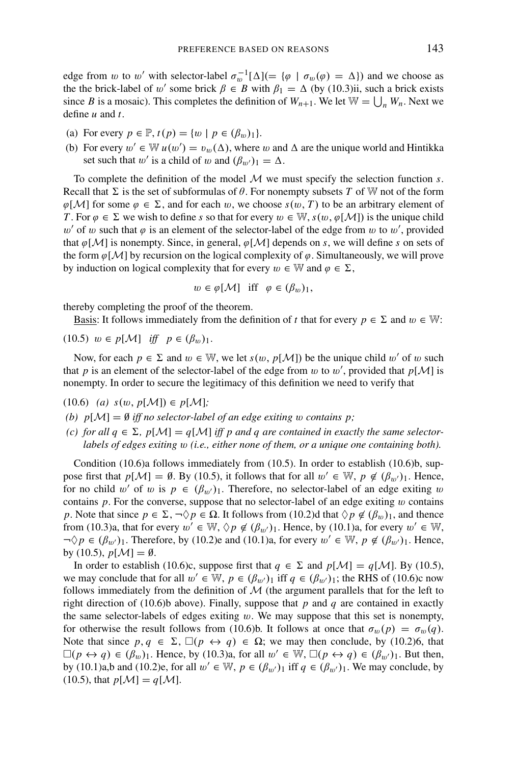edge from w to w' with selector-label  $\sigma_w^{-1}[\Delta] (= {\varphi} \mid \sigma_w(\varphi) = \Delta)$  and we choose as the the brick-label of w' some brick  $\beta \in B$  with  $\beta_1 = \Delta$  (by (10.3)ii, such a brick exists since *B* is a mosaic). This completes the definition of  $W_{n+1}$ . We let  $W = \bigcup_n W_n$ . Next we define *u* and *t*.

- (a) For every  $p \in \mathbb{P}$ ,  $t(p) = \{w \mid p \in (\beta_w)_1\}.$
- (b) For every  $w' \in \mathbb{W}$   $u(w') = v_w(\Delta)$ , where w and  $\Delta$  are the unique world and Hintikka set such that w' is a child of w and  $(\beta_{w'})_1 = \Delta$ .

To complete the definition of the model M we must specify the selection function *s*. Recall that  $\Sigma$  is the set of subformulas of  $\theta$ . For nonempty subsets *T* of W not of the form  $\varphi[\mathcal{M}]$  for some  $\varphi \in \Sigma$ , and for each w, we choose  $s(w, T)$  to be an arbitrary element of *T*. For  $\varphi \in \Sigma$  we wish to define *s* so that for every  $w \in \mathbb{W}$ ,  $s(w, \varphi[\mathcal{M}])$  is the unique child w' of w such that  $\varphi$  is an element of the selector-label of the edge from w to w', provided that  $\varphi[\mathcal{M}]$  is nonempty. Since, in general,  $\varphi[\mathcal{M}]$  depends on *s*, we will define *s* on sets of the form  $\varphi[\mathcal{M}]$  by recursion on the logical complexity of  $\varphi$ . Simultaneously, we will prove by induction on logical complexity that for every  $w \in \mathbb{W}$  and  $\varphi \in \Sigma$ ,

$$
w \in \varphi[\mathcal{M}]
$$
 iff  $\varphi \in (\beta_w)_1$ ,

thereby completing the proof of the theorem.

Basis: It follows immediately from the definition of *t* that for every  $p \in \Sigma$  and  $w \in \mathbb{W}$ :

 $(10.5)$   $w \in p[\mathcal{M}]$  *iff*  $p \in (\beta_w)_1$ .

Now, for each  $p \in \Sigma$  and  $w \in \mathbb{W}$ , we let  $s(w, p[\mathcal{M}])$  be the unique child w' of w such that *p* is an element of the selector-label of the edge from *w* to *w'*, provided that  $p[M]$  is nonempty. In order to secure the legitimacy of this definition we need to verify that

(10.6) *(a) s*(w, *p*[M]) ∈ *p*[M]*;*

*(b)*  $p[\mathcal{M}] = \emptyset$  *iff no selector-label of an edge exiting w contains p;* 

*(c)* for all  $q \in \Sigma$ ,  $p[\mathcal{M}] = q[\mathcal{M}]$  *iff p and q are contained in exactly the same selectorlabels of edges exiting* w *(i.e., either none of them, or a unique one containing both).*

Condition (10.6)a follows immediately from (10.5). In order to establish (10.6)b, suppose first that  $p[\mathcal{M}] = \emptyset$ . By (10.5), it follows that for all  $w' \in \mathbb{W}$ ,  $p \notin (\beta_{w'})_1$ . Hence, for no child w' of w is  $p \in (\beta_{w'})_1$ . Therefore, no selector-label of an edge exiting w contains  $p$ . For the converse, suppose that no selector-label of an edge exiting  $w$  contains *p*. Note that since  $p \in \Sigma$ ,  $\neg \Diamond p \in \Omega$ . It follows from (10.2)d that  $\Diamond p \notin (\beta_w)_1$ , and thence from (10.3)a, that for every  $w' \in \mathbb{W}, \Diamond p \notin (\beta_{w'})_1$ . Hence, by (10.1)a, for every  $w' \in \mathbb{W}$ ,  $\neg \Diamond p \in (\beta_{w'})_1$ . Therefore, by (10.2)e and (10.1)a, for every  $w' \in \mathbb{W}$ ,  $p \notin (\beta_{w'})_1$ . Hence, by (10.5),  $p[\mathcal{M}] = \emptyset$ .

In order to establish (10.6)c, suppose first that  $q \in \Sigma$  and  $p[\mathcal{M}] = q[\mathcal{M}]$ . By (10.5), we may conclude that for all  $w' \in W$ ,  $p \in (\beta_{w'})_1$  iff  $q \in (\beta_{w'})_1$ ; the RHS of (10.6)c now follows immediately from the definition of  $M$  (the argument parallels that for the left to right direction of (10.6)b above). Finally, suppose that  $p$  and  $q$  are contained in exactly the same selector-labels of edges exiting  $w$ . We may suppose that this set is nonempty, for otherwise the result follows from (10.6)b. It follows at once that  $\sigma_w(p) = \sigma_w(q)$ . Note that since  $p, q \in \Sigma$ ,  $\square(p \leftrightarrow q) \in \Omega$ ; we may then conclude, by (10.2)6, that  $\square(p \leftrightarrow q) \in (\beta_w)_1$ . Hence, by (10.3)a, for all  $w' \in \mathbb{W}$ ,  $\square(p \leftrightarrow q) \in (\beta_{w'})_1$ . But then, by (10.1)a,b and (10.2)e, for all  $w' \in W$ ,  $p \in (\beta_{w'})_1$  iff  $q \in (\beta_{w'})_1$ . We may conclude, by  $(10.5)$ , that  $p[\mathcal{M}] = q[\mathcal{M}].$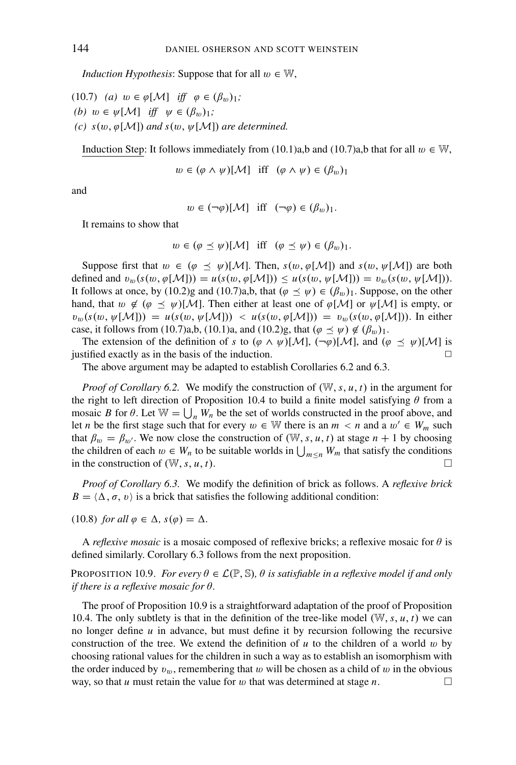*Induction Hypothesis:* Suppose that for all  $w \in \mathbb{W}$ ,

- (10.7) *(a)*  $w \in \varphi[\mathcal{M}]$  *iff*  $\varphi \in (\beta_w)_1$ ; *(b)*  $w \in \psi[\mathcal{M}]$  *iff*  $\psi \in (\beta_w)_1$ ;
- *(c)*  $s(w, \varphi[\mathcal{M}])$  *and*  $s(w, \psi[\mathcal{M}])$  *are determined.*

Induction Step: It follows immediately from (10.1)a,b and (10.7)a,b that for all  $w \in W$ ,

 $w \in (\varphi \land \psi)[\mathcal{M}]$  iff  $(\varphi \land \psi) \in (\beta_m)_1$ 

and

$$
w \in (\neg \varphi)[\mathcal{M}]
$$
 iff  $(\neg \varphi) \in (\beta_w)_1$ .

It remains to show that

 $w \in (\varphi \preceq \psi)[\mathcal{M}]$  iff  $(\varphi \preceq \psi) \in (\beta_w)_1$ .

Suppose first that  $w \in (\varphi \preceq \psi)$ [M]. Then,  $s(w, \varphi[M])$  and  $s(w, \psi[M])$  are both defined and  $v_w(s(w, \varphi[\mathcal{M}])) = u(s(w, \varphi[\mathcal{M}])) \leq u(s(w, \psi[\mathcal{M}])) = v_w(s(w, \psi[\mathcal{M}]))$ . It follows at once, by (10.2)g and (10.7)a,b, that  $(\varphi \preceq \psi) \in (\beta_w)_1$ . Suppose, on the other hand, that  $w \notin (\varphi \preceq \psi) [\mathcal{M}]$ . Then either at least one of  $\varphi[\mathcal{M}]$  or  $\psi[\mathcal{M}]$  is empty, or  $v_w(s(w, \psi[\mathcal{M}])) = u(s(w, \psi[\mathcal{M}])) < u(s(w, \phi[\mathcal{M}])) = v_w(s(w, \phi[\mathcal{M}]))$ . In either case, it follows from (10.7)a,b, (10.1)a, and (10.2)g, that  $(\varphi \preceq \psi) \notin (\beta_w)_1$ .

The extension of the definition of *s* to  $(\varphi \land \psi)[\mathcal{M}]$ ,  $(\neg \varphi)[\mathcal{M}]$ , and  $(\varphi \preceq \psi)[\mathcal{M}]$  is stified exactly as in the basis of the induction. justified exactly as in the basis of the induction.

The above argument may be adapted to establish Corollaries 6.2 and 6.3.

*Proof of Corollary 6.2.* We modify the construction of (W,*s*, *u*, *t*) in the argument for the right to left direction of Proposition 10.4 to build a finite model satisfying  $\theta$  from a mosaic *B* for  $\theta$ . Let  $\mathbb{W} = \bigcup_n W_n$  be the set of worlds constructed in the proof above, and let *n* be the first stage such that for every  $w \in \mathbb{W}$  there is an  $m < n$  and a  $w' \in W_m$  such that  $\beta_w = \beta_{w'}$ . We now close the construction of (W, s, u, t) at stage  $n + 1$  by choosing the children of each  $w \in W_n$  to be suitable worlds in  $\bigcup_{m \le n} W_m$  that satisfy the conditions in the construction of  $(W, s, u, t)$ .

*Proof of Corollary 6.3.* We modify the definition of brick as follows. A *reflexive brick*  $B = \langle \Delta, \sigma, v \rangle$  is a brick that satisfies the following additional condition:

(10.8) *for all*  $\varphi \in \Delta$ ,  $s(\varphi) = \Delta$ .

A *reflexive mosaic* is a mosaic composed of reflexive bricks; a reflexive mosaic for  $\theta$  is defined similarly. Corollary 6.3 follows from the next proposition.

## **PROPOSITION 10.9.** *For every*  $\theta \in \mathcal{L}(\mathbb{P}, \mathbb{S})$ ,  $\theta$  *is satisfiable in a reflexive model if and only if there is a reflexive mosaic for* θ*.*

The proof of Proposition 10.9 is a straightforward adaptation of the proof of Proposition 10.4. The only subtlety is that in the definition of the tree-like model  $(W, s, u, t)$  we can no longer define *u* in advance, but must define it by recursion following the recursive construction of the tree. We extend the definition of  $u$  to the children of a world  $w$  by choosing rational values for the children in such a way as to establish an isomorphism with the order induced by  $v_w$ , remembering that w will be chosen as a child of w in the obvious way, so that *u* must retain the value for *w* that was determined at stage *n*.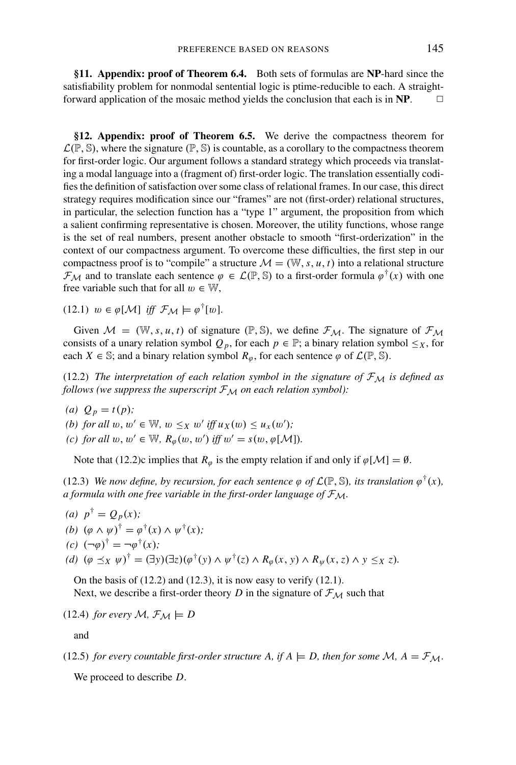**§11. Appendix: proof of Theorem 6.4.** Both sets of formulas are **NP**-hard since the satisfiability problem for nonmodal sentential logic is ptime-reducible to each. A straightforward application of the mosaic method yields the conclusion that each is in  $\mathbf{NP}$ .  $\Box$ 

**§12. Appendix: proof of Theorem 6.5.** We derive the compactness theorem for  $\mathcal{L}(\mathbb{P}, \mathbb{S})$ , where the signature  $(\mathbb{P}, \mathbb{S})$  is countable, as a corollary to the compactness theorem for first-order logic. Our argument follows a standard strategy which proceeds via translating a modal language into a (fragment of) first-order logic. The translation essentially codifies the definition of satisfaction over some class of relational frames. In our case, this direct strategy requires modification since our "frames" are not (first-order) relational structures, in particular, the selection function has a "type 1" argument, the proposition from which a salient confirming representative is chosen. Moreover, the utility functions, whose range is the set of real numbers, present another obstacle to smooth "first-orderization" in the context of our compactness argument. To overcome these difficulties, the first step in our compactness proof is to "compile" a structure  $\mathcal{M} = (\mathbb{W}, s, u, t)$  into a relational structure  $\mathcal{F}_{\mathcal{M}}$  and to translate each sentence  $\varphi \in \mathcal{L}(\mathbb{P}, \mathbb{S})$  to a first-order formula  $\varphi^{\dagger}(x)$  with one free variable such that for all  $w \in \mathbb{W}$ ,

(12.1)  $w \in \varphi[\mathcal{M}]$  *iff*  $\mathcal{F}_\mathcal{M} \models \varphi^\dagger[w]$ .

Given  $M = (\mathbb{W}, s, u, t)$  of signature  $(\mathbb{P}, \mathbb{S})$ , we define  $\mathcal{F}_{M}$ . The signature of  $\mathcal{F}_{M}$ consists of a unary relation symbol  $Q_p$ , for each  $p \in \mathbb{P}$ ; a binary relation symbol  $\leq_X$ , for each *X*  $\in$  S; and a binary relation symbol  $R_{\varphi}$ , for each sentence  $\varphi$  of  $\mathcal{L}(\mathbb{P}, \mathbb{S})$ .

(12.2) *The interpretation of each relation symbol in the signature of*  $\mathcal{F}_{\mathcal{M}}$  *is defined as follows (we suppress the superscript*  $F_M$  *on each relation symbol)*:

- *(a)*  $Q_p = t(p)$ ;
- *(b)* for all  $w, w' \in \mathbb{W}$ ,  $w \leq_X w'$  if  $f(x) \leq u_X(w')$ ;
- *(c)* for all  $w, w' \in \mathbb{W}$ ,  $R_{\varphi}(w, w')$  iff  $w' = s(w, \varphi[\mathcal{M}])$ .

Note that (12.2)c implies that  $R_{\varphi}$  is the empty relation if and only if  $\varphi[\mathcal{M}] = \emptyset$ .

(12.3) *We now define, by recursion, for each sentence*  $\varphi$  *of*  $\mathcal{L}(\mathbb{P}, \mathbb{S})$ *, its translation*  $\varphi^{\dagger}(x)$ *, a formula with one free variable in the first-order language of*  $\mathcal{F}_{\mathcal{M}}$ *.* 

(a) 
$$
p^{\dagger} = Q_p(x)
$$
;  
\n(b)  $(\varphi \wedge \psi)^{\dagger} = \varphi^{\dagger}(x) \wedge \psi^{\dagger}(x)$ ;  
\n(c)  $(\neg \varphi)^{\dagger} = \neg \varphi^{\dagger}(x)$ ;  
\n(d)  $(\varphi \preceq_X \psi)^{\dagger} = (\exists y)(\exists z)(\varphi^{\dagger}(y) \wedge \psi^{\dagger}(z) \wedge R_{\varphi}(x, y) \wedge R_{\psi}(x, z) \wedge y \leq_X z)$ .

On the basis of  $(12.2)$  and  $(12.3)$ , it is now easy to verify  $(12.1)$ . Next, we describe a first-order theory *D* in the signature of  $\mathcal{F}_{\mathcal{M}}$  such that

$$
(12.4) for every M, \mathcal{F}_{\mathcal{M}} \models D
$$

and

(12.5) *for every countable first-order structure A, if A*  $\models$  *D, then for some M, A* =  $\mathcal{F}_{\mathcal{M}}$ *.* 

We proceed to describe *D*.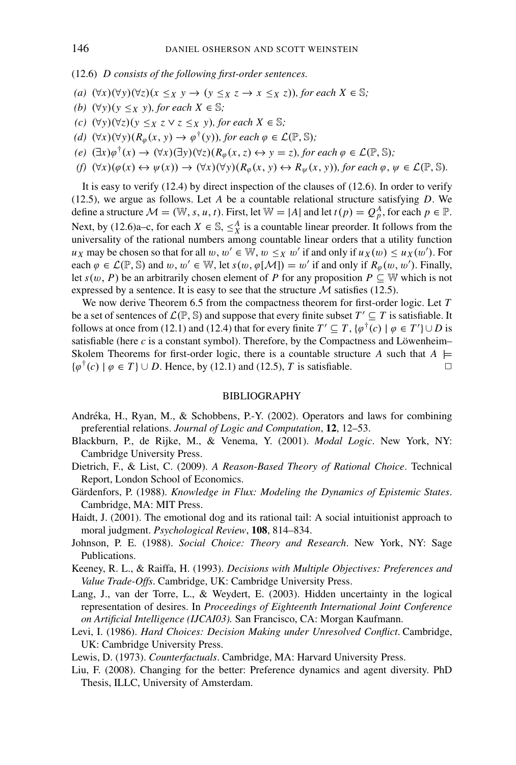(12.6) *D consists of the following first-order sentences.*

- *(a)*  $(\forall x)(\forall y)(\forall z)(x \leq_X y \rightarrow (y \leq_X z \rightarrow x \leq_X z))$ *, for each*  $X \in \mathbb{S}$ *;*
- *(b)*  $(\forall y)(y \leq x, y)$ *, for each X* ∈ S;
- *(c)*  $(\forall y)(\forall z)(y \leq x \leq \forall z \leq x \leq y)$ *, for each*  $X \in \mathbb{S}$ *;*
- *(d)*  $(\forall x)(\forall y)(R_{\varphi}(x, y) \rightarrow \varphi^{\dagger}(y))$ *, for each*  $\varphi \in \mathcal{L}(\mathbb{P}, \mathbb{S})$ *;*
- *(e)*  $(\exists x)\varphi^{\dagger}(x)$  →  $(\forall x)(\exists y)(\forall z)(R_{\varphi}(x, z) \leftrightarrow y = z)$ *, for each*  $\varphi \in \mathcal{L}(\mathbb{P}, \mathbb{S})$ *;*
- $(f)$   $(\forall x)(\varphi(x) \leftrightarrow \psi(x)) \rightarrow (\forall x)(\forall y)(R_{\varphi}(x, y) \leftrightarrow R_{\psi}(x, y))$ *, for each*  $\varphi, \psi \in \mathcal{L}(\mathbb{P}, \mathbb{S})$ *.*

It is easy to verify (12.4) by direct inspection of the clauses of (12.6). In order to verify (12.5), we argue as follows. Let *A* be a countable relational structure satisfying *D*. We define a structure  $\mathcal{M} = (\mathbb{W}, s, u, t)$ . First, let  $\mathbb{W} = |A|$  and let  $t(p) = Q_p^A$ , for each  $p \in \mathbb{P}$ . Next, by (12.6)a–c, for each  $X \in \mathbb{S}$ ,  $\leq_X^A$  is a countable linear preorder. It follows from the universality of the rational numbers among countable linear orders that a utility function *u<sub>X</sub>* may be chosen so that for all  $w, w' \in \mathbb{W}, w \leq_X w'$  if and only if  $u_X(w) \leq u_X(w')$ . For each  $\varphi \in \mathcal{L}(\mathbb{P}, \mathbb{S})$  and  $w, w' \in \mathbb{W}$ , let  $s(w, \varphi[\mathcal{M}]) = w'$  if and only if  $R_{\varphi}(w, w')$ . Finally, let  $s(w, P)$  be an arbitrarily chosen element of *P* for any proposition  $P \subseteq W$  which is not expressed by a sentence. It is easy to see that the structure  $M$  satisfies (12.5).

We now derive Theorem 6.5 from the compactness theorem for first-order logic. Let *T* be a set of sentences of  $\mathcal{L}(\mathbb{P}, \mathbb{S})$  and suppose that every finite subset  $T' \subseteq T$  is satisfiable. It follows at once from (12.1) and (12.4) that for every finite  $T' \subseteq T$ ,  $\{\varphi^{\dagger}(c) \mid \varphi \in T'\} \cup D$  is satisfiable (here  $c$  is a constant symbol). Therefore, by the Compactness and Löwenheim– Skolem Theorems for first-order logic, there is a countable structure *A* such that  $A \models \{\varnothing^{\dagger}(c) \mid \varnothing \in T\} \cup D$ . Hence, by (12.1) and (12.5). *T* is satisfiable.  $\{\varphi^{\dagger}(c) \mid \varphi \in T\} \cup D$ . Hence, by (12.1) and (12.5), *T* is satisfiable.

## BIBLIOGRAPHY

- Andréka, H., Ryan, M., & Schobbens, P.-Y. (2002). Operators and laws for combining preferential relations. *Journal of Logic and Computation*, **12**, 12–53.
- Blackburn, P., de Rijke, M., & Venema, Y. (2001). *Modal Logic*. New York, NY: Cambridge University Press.
- Dietrich, F., & List, C. (2009). *A Reason-Based Theory of Rational Choice*. Technical Report, London School of Economics.
- Gärdenfors, P. (1988). *Knowledge in Flux: Modeling the Dynamics of Epistemic States*. Cambridge, MA: MIT Press.
- Haidt, J. (2001). The emotional dog and its rational tail: A social intuitionist approach to moral judgment. *Psychological Review*, **108**, 814–834.
- Johnson, P. E. (1988). *Social Choice: Theory and Research*. New York, NY: Sage Publications.
- Keeney, R. L., & Raiffa, H. (1993). *Decisions with Multiple Objectives: Preferences and Value Trade-Offs*. Cambridge, UK: Cambridge University Press.
- Lang, J., van der Torre, L., & Weydert, E. (2003). Hidden uncertainty in the logical representation of desires. In *Proceedings of Eighteenth International Joint Conference on Artificial Intelligence (IJCAI03).* San Francisco, CA: Morgan Kaufmann.
- Levi, I. (1986). *Hard Choices: Decision Making under Unresolved Conflict*. Cambridge, UK: Cambridge University Press.
- Lewis, D. (1973). *Counterfactuals*. Cambridge, MA: Harvard University Press.
- Liu, F. (2008). Changing for the better: Preference dynamics and agent diversity. PhD Thesis, ILLC, University of Amsterdam.